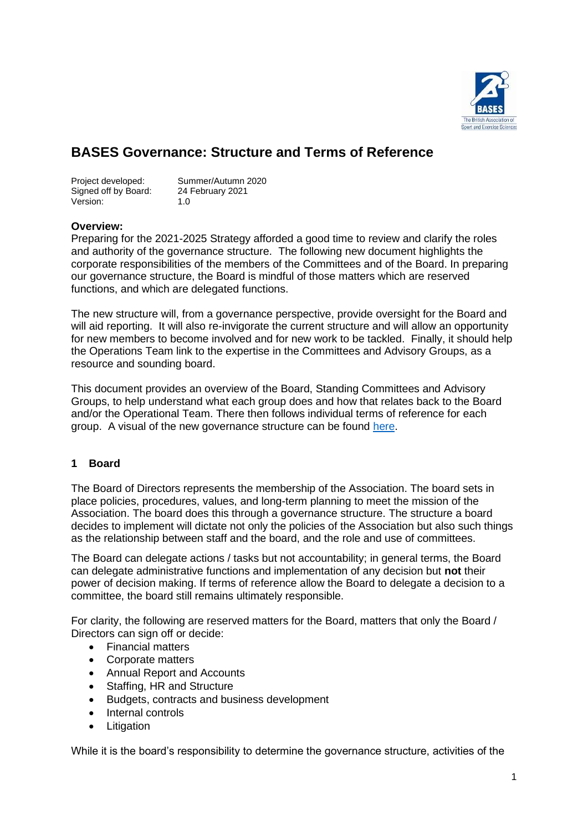

# **BASES Governance: Structure and Terms of Reference**

Signed off by Board: 24 February 2021 Version: 1.0

Project developed: Summer/Autumn 2020

#### **Overview:**

Preparing for the 2021-2025 Strategy afforded a good time to review and clarify the roles and authority of the governance structure. The following new document highlights the corporate responsibilities of the members of the Committees and of the Board. In preparing our governance structure, the Board is mindful of those matters which are reserved functions, and which are delegated functions.

The new structure will, from a governance perspective, provide oversight for the Board and will aid reporting. It will also re-invigorate the current structure and will allow an opportunity for new members to become involved and for new work to be tackled. Finally, it should help the Operations Team link to the expertise in the Committees and Advisory Groups, as a resource and sounding board.

This document provides an overview of the Board, Standing Committees and Advisory Groups, to help understand what each group does and how that relates back to the Board and/or the Operational Team. There then follows individual terms of reference for each group. A visual of the new governance structure can be found [here.](#page-3-0)

#### **1 Board**

The Board of Directors represents the membership of the Association. The board sets in place policies, procedures, values, and long-term planning to meet the mission of the Association. The board does this through a governance structure. The structure a board decides to implement will dictate not only the policies of the Association but also such things as the relationship between staff and the board, and the role and use of committees.

The Board can delegate actions / tasks but not accountability; in general terms, the Board can delegate administrative functions and implementation of any decision but **not** their power of decision making. If terms of reference allow the Board to delegate a decision to a committee, the board still remains ultimately responsible.

For clarity, the following are reserved matters for the Board, matters that only the Board / Directors can sign off or decide:

- Financial matters
- Corporate matters
- Annual Report and Accounts
- Staffing, HR and Structure
- Budgets, contracts and business development
- Internal controls
- Litigation

While it is the board's responsibility to determine the governance structure, activities of the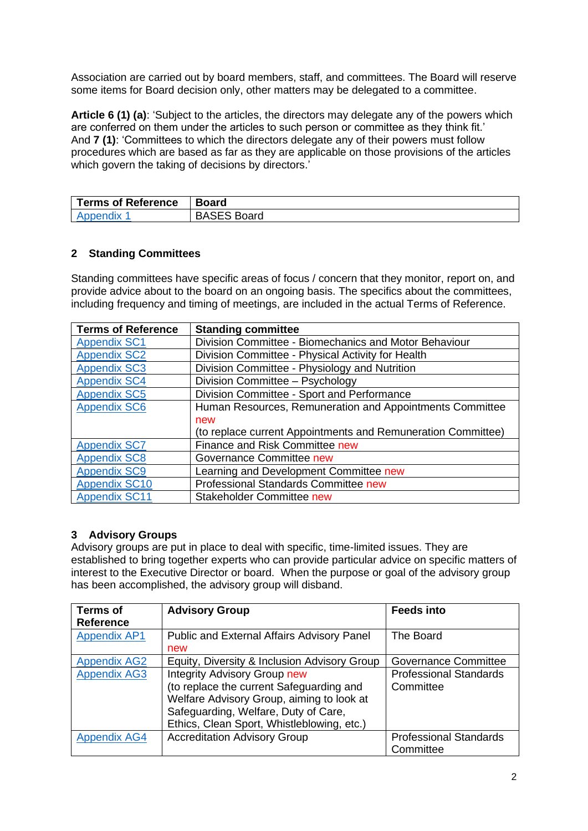Association are carried out by board members, staff, and committees. The Board will reserve some items for Board decision only, other matters may be delegated to a committee.

**Article 6 (1) (a)**: 'Subject to the articles, the directors may delegate any of the powers which are conferred on them under the articles to such person or committee as they think fit.' And **7 (1)**: 'Committees to which the directors delegate any of their powers must follow procedures which are based as far as they are applicable on those provisions of the articles which govern the taking of decisions by directors.'

| <b>Terms of Reference</b> | <b>Board</b>       |
|---------------------------|--------------------|
|                           | <b>BASES Board</b> |

## **2 Standing Committees**

Standing committees have specific areas of focus / concern that they monitor, report on, and provide advice about to the board on an ongoing basis. The specifics about the committees, including frequency and timing of meetings, are included in the actual Terms of Reference.

| <b>Terms of Reference</b> | <b>Standing committee</b>                                    |  |
|---------------------------|--------------------------------------------------------------|--|
| <b>Appendix SC1</b>       | Division Committee - Biomechanics and Motor Behaviour        |  |
| <b>Appendix SC2</b>       | Division Committee - Physical Activity for Health            |  |
| <b>Appendix SC3</b>       | Division Committee - Physiology and Nutrition                |  |
| <b>Appendix SC4</b>       | Division Committee - Psychology                              |  |
| <b>Appendix SC5</b>       | Division Committee - Sport and Performance                   |  |
| <b>Appendix SC6</b>       | Human Resources, Remuneration and Appointments Committee     |  |
|                           | new                                                          |  |
|                           | (to replace current Appointments and Remuneration Committee) |  |
| <b>Appendix SC7</b>       | Finance and Risk Committee new                               |  |
| <b>Appendix SC8</b>       | Governance Committee new                                     |  |
| <b>Appendix SC9</b>       | Learning and Development Committee new                       |  |
| <b>Appendix SC10</b>      | Professional Standards Committee new                         |  |
| <b>Appendix SC11</b>      | <b>Stakeholder Committee new</b>                             |  |

#### **3 Advisory Groups**

Advisory groups are put in place to deal with specific, time-limited issues. They are established to bring together experts who can provide particular advice on specific matters of interest to the Executive Director or board. When the purpose or goal of the advisory group has been accomplished, the advisory group will disband.

| <b>Terms of</b><br><b>Reference</b> | <b>Advisory Group</b>                        | <b>Feeds into</b>             |
|-------------------------------------|----------------------------------------------|-------------------------------|
| <b>Appendix AP1</b>                 | Public and External Affairs Advisory Panel   | The Board                     |
|                                     | new                                          |                               |
| <b>Appendix AG2</b>                 | Equity, Diversity & Inclusion Advisory Group | Governance Committee          |
| <b>Appendix AG3</b>                 | <b>Integrity Advisory Group new</b>          | <b>Professional Standards</b> |
|                                     | (to replace the current Safeguarding and     | Committee                     |
|                                     | Welfare Advisory Group, aiming to look at    |                               |
|                                     | Safeguarding, Welfare, Duty of Care,         |                               |
|                                     | Ethics, Clean Sport, Whistleblowing, etc.)   |                               |
| <b>Appendix AG4</b>                 | <b>Accreditation Advisory Group</b>          | <b>Professional Standards</b> |
|                                     |                                              | Committee                     |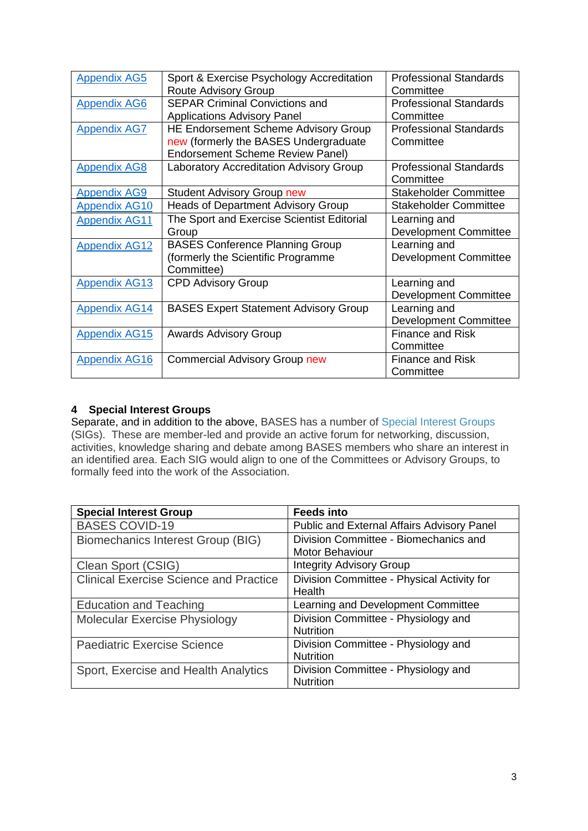| Sport & Exercise Psychology Accreditation    | <b>Professional Standards</b> |
|----------------------------------------------|-------------------------------|
| <b>Route Advisory Group</b>                  | Committee                     |
| <b>SEPAR Criminal Convictions and</b>        | <b>Professional Standards</b> |
| <b>Applications Advisory Panel</b>           | Committee                     |
| <b>HE Endorsement Scheme Advisory Group</b>  | <b>Professional Standards</b> |
| new (formerly the BASES Undergraduate        | Committee                     |
| <b>Endorsement Scheme Review Panel)</b>      |                               |
| Laboratory Accreditation Advisory Group      | <b>Professional Standards</b> |
|                                              | Committee                     |
| <b>Student Advisory Group new</b>            | <b>Stakeholder Committee</b>  |
| <b>Heads of Department Advisory Group</b>    | <b>Stakeholder Committee</b>  |
| The Sport and Exercise Scientist Editorial   | Learning and                  |
| Group                                        | <b>Development Committee</b>  |
| <b>BASES Conference Planning Group</b>       | Learning and                  |
| (formerly the Scientific Programme           | <b>Development Committee</b>  |
| Committee)                                   |                               |
| <b>CPD Advisory Group</b>                    | Learning and                  |
|                                              | <b>Development Committee</b>  |
| <b>BASES Expert Statement Advisory Group</b> | Learning and                  |
|                                              | <b>Development Committee</b>  |
| <b>Awards Advisory Group</b>                 | <b>Finance and Risk</b>       |
|                                              | Committee                     |
| <b>Commercial Advisory Group new</b>         | <b>Finance and Risk</b>       |
|                                              | Committee                     |
|                                              |                               |

# **4 Special Interest Groups**

Separate, and in addition to the above, BASES has a number of [Special Interest Groups](https://members.bases.org.uk/page-special_interest_groups.html) (SIGs). These are member-led and provide an active forum for networking, discussion, activities, knowledge sharing and debate among BASES members who share an interest in an identified area. Each SIG would align to one of the Committees or Advisory Groups, to formally feed into the work of the Association.

| <b>Special Interest Group</b>                 | <b>Feeds into</b>                                 |
|-----------------------------------------------|---------------------------------------------------|
| <b>BASES COVID-19</b>                         | <b>Public and External Affairs Advisory Panel</b> |
| Biomechanics Interest Group (BIG)             | Division Committee - Biomechanics and             |
|                                               | Motor Behaviour                                   |
| Clean Sport (CSIG)                            | <b>Integrity Advisory Group</b>                   |
| <b>Clinical Exercise Science and Practice</b> | Division Committee - Physical Activity for        |
|                                               | Health                                            |
| <b>Education and Teaching</b>                 | Learning and Development Committee                |
| <b>Molecular Exercise Physiology</b>          | Division Committee - Physiology and               |
|                                               | <b>Nutrition</b>                                  |
| <b>Paediatric Exercise Science</b>            | Division Committee - Physiology and               |
|                                               | <b>Nutrition</b>                                  |
| Sport, Exercise and Health Analytics          | Division Committee - Physiology and               |
|                                               | <b>Nutrition</b>                                  |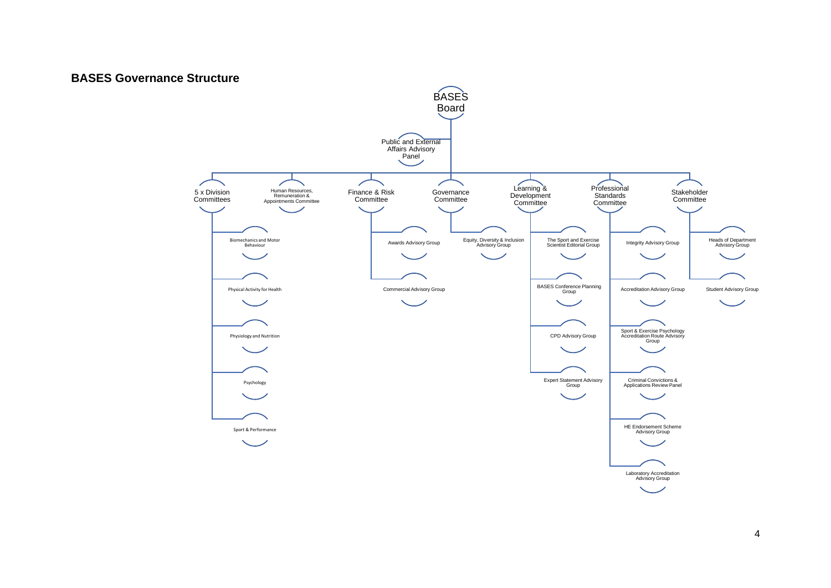## <span id="page-3-0"></span>**BASES Governance Structure**

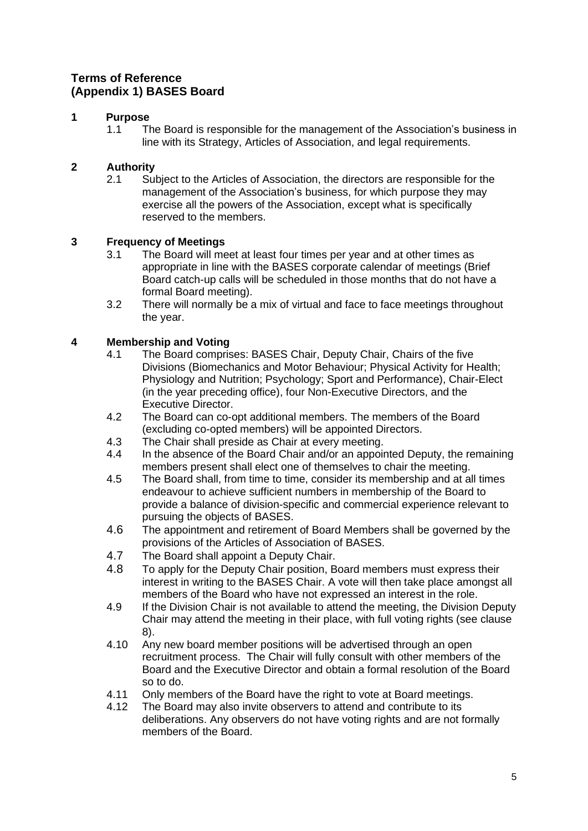# <span id="page-4-0"></span>**Terms of Reference (Appendix 1) BASES Board**

# **1 Purpose**

1.1 The Board is responsible for the management of the Association's business in line with its Strategy, Articles of Association, and legal requirements.

# **2 Authority**

2.1 Subject to the Articles of Association, the directors are responsible for the management of the Association's business, for which purpose they may exercise all the powers of the Association, except what is specifically reserved to the members.

# **3 Frequency of Meetings**

- 3.1 The Board will meet at least four times per year and at other times as appropriate in line with the BASES corporate calendar of meetings (Brief Board catch-up calls will be scheduled in those months that do not have a formal Board meeting).
- 3.2 There will normally be a mix of virtual and face to face meetings throughout the year.

- 4.1 The Board comprises: BASES Chair, Deputy Chair, Chairs of the five Divisions (Biomechanics and Motor Behaviour; Physical Activity for Health; Physiology and Nutrition; Psychology; Sport and Performance), Chair-Elect (in the year preceding office), four Non-Executive Directors, and the Executive Director.
- 4.2 The Board can co-opt additional members. The members of the Board (excluding co-opted members) will be appointed Directors.
- 4.3 The Chair shall preside as Chair at every meeting.<br>4.4 In the absence of the Board Chair and/or an appoin
- In the absence of the Board Chair and/or an appointed Deputy, the remaining members present shall elect one of themselves to chair the meeting.
- 4.5 The Board shall, from time to time, consider its membership and at all times endeavour to achieve sufficient numbers in membership of the Board to provide a balance of division-specific and commercial experience relevant to pursuing the objects of BASES.
- 4.6 The appointment and retirement of Board Members shall be governed by the provisions of the Articles of Association of BASES.
- 4.7 The Board shall appoint a Deputy Chair.
- 4.8 To apply for the Deputy Chair position, Board members must express their interest in writing to the BASES Chair. A vote will then take place amongst all members of the Board who have not expressed an interest in the role.
- 4.9 If the Division Chair is not available to attend the meeting, the Division Deputy Chair may attend the meeting in their place, with full voting rights (see clause 8).
- 4.10 Any new board member positions will be advertised through an open recruitment process. The Chair will fully consult with other members of the Board and the Executive Director and obtain a formal resolution of the Board so to do.
- 4.11 Only members of the Board have the right to vote at Board meetings.
- 4.12 The Board may also invite observers to attend and contribute to its deliberations. Any observers do not have voting rights and are not formally members of the Board.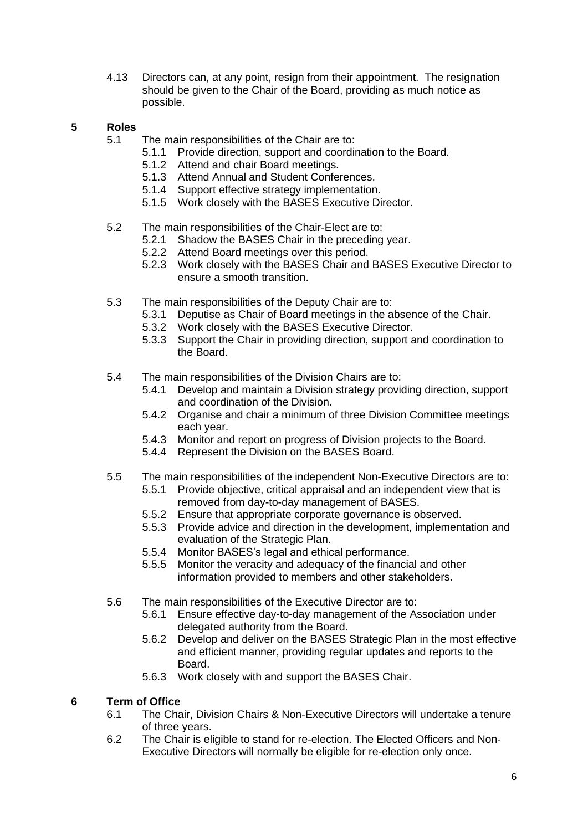4.13 Directors can, at any point, resign from their appointment. The resignation should be given to the Chair of the Board, providing as much notice as possible.

## **5 Roles**

- 5.1 The main responsibilities of the Chair are to:
	- 5.1.1 Provide direction, support and coordination to the Board.
	- 5.1.2 Attend and chair Board meetings.
	- 5.1.3 Attend Annual and Student Conferences.
	- 5.1.4 Support effective strategy implementation.
	- 5.1.5 Work closely with the BASES Executive Director.
- 5.2 The main responsibilities of the Chair-Elect are to:
	- 5.2.1 Shadow the BASES Chair in the preceding year.
	- 5.2.2 Attend Board meetings over this period.
	- 5.2.3 Work closely with the BASES Chair and BASES Executive Director to ensure a smooth transition.
- 5.3 The main responsibilities of the Deputy Chair are to:
	- 5.3.1 Deputise as Chair of Board meetings in the absence of the Chair.
	- 5.3.2 Work closely with the BASES Executive Director.
	- 5.3.3 Support the Chair in providing direction, support and coordination to the Board.
- 5.4 The main responsibilities of the Division Chairs are to:
	- 5.4.1 Develop and maintain a Division strategy providing direction, support and coordination of the Division.
	- 5.4.2 Organise and chair a minimum of three Division Committee meetings each year.
	- 5.4.3 Monitor and report on progress of Division projects to the Board.
	- 5.4.4 Represent the Division on the BASES Board.
- 5.5 The main responsibilities of the independent Non-Executive Directors are to:
	- 5.5.1 Provide objective, critical appraisal and an independent view that is removed from day-to-day management of BASES.
	- 5.5.2 Ensure that appropriate corporate governance is observed.
	- 5.5.3 Provide advice and direction in the development, implementation and evaluation of the Strategic Plan.
	- 5.5.4 Monitor BASES's legal and ethical performance.
	- 5.5.5 Monitor the veracity and adequacy of the financial and other information provided to members and other stakeholders.
- 5.6 The main responsibilities of the Executive Director are to:
	- 5.6.1 Ensure effective day-to-day management of the Association under delegated authority from the Board.
	- 5.6.2 Develop and deliver on the BASES Strategic Plan in the most effective and efficient manner, providing regular updates and reports to the Board.
	- 5.6.3 Work closely with and support the BASES Chair.

#### **6 Term of Office**

- 6.1 The Chair, Division Chairs & Non-Executive Directors will undertake a tenure of three years.
- 6.2 The Chair is eligible to stand for re-election. The Elected Officers and Non-Executive Directors will normally be eligible for re-election only once.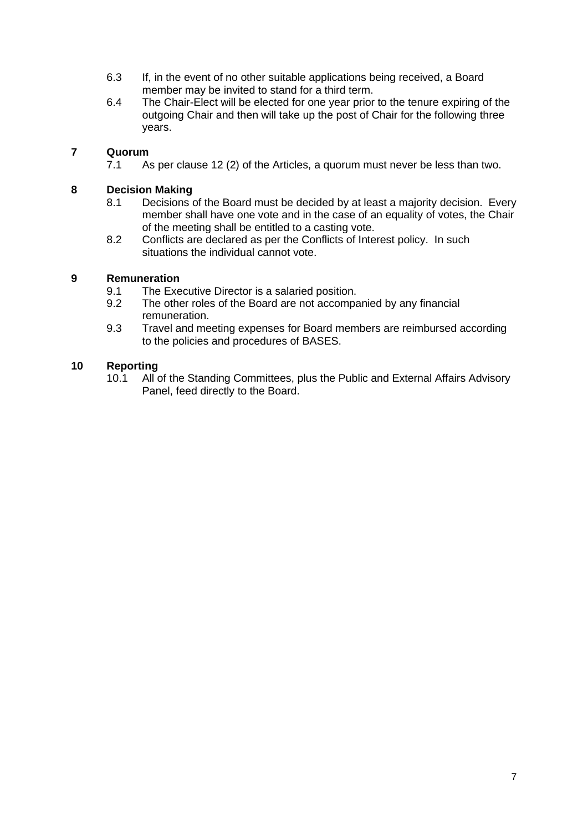- 6.3 If, in the event of no other suitable applications being received, a Board member may be invited to stand for a third term.
- 6.4 The Chair-Elect will be elected for one year prior to the tenure expiring of the outgoing Chair and then will take up the post of Chair for the following three years.

7.1 As per clause 12 (2) of the Articles, a quorum must never be less than two.

#### **8 Decision Making**

- 8.1 Decisions of the Board must be decided by at least a majority decision. Every member shall have one vote and in the case of an equality of votes, the Chair of the meeting shall be entitled to a casting vote.
- 8.2 Conflicts are declared as per the Conflicts of Interest policy. In such situations the individual cannot vote.

## **9 Remuneration**

- 9.1 The Executive Director is a salaried position.<br>9.2 The other roles of the Board are not accompa
- The other roles of the Board are not accompanied by any financial remuneration.
- 9.3 Travel and meeting expenses for Board members are reimbursed according to the policies and procedures of BASES.

## **10 Reporting**

10.1 All of the Standing Committees, plus the Public and External Affairs Advisory Panel, feed directly to the Board.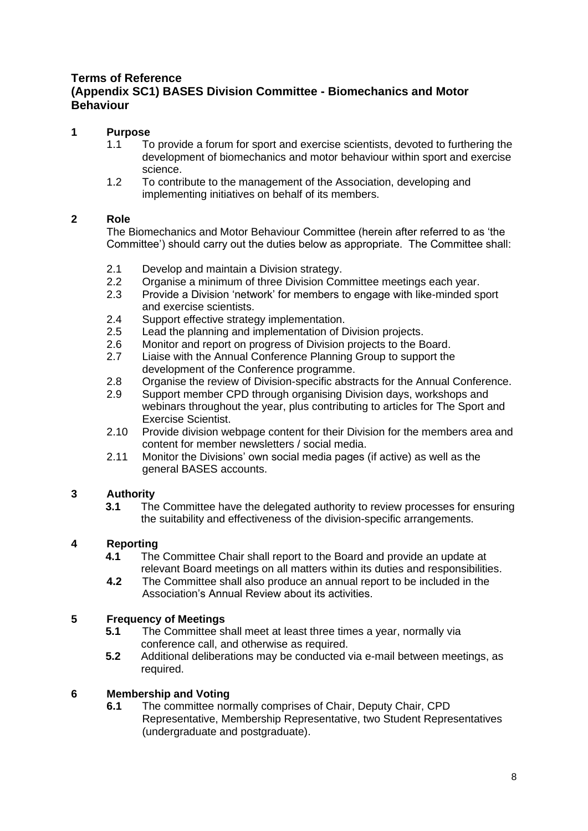# <span id="page-7-0"></span>**Terms of Reference (Appendix SC1) BASES Division Committee - Biomechanics and Motor Behaviour**

## **1 Purpose**

- 1.1 To provide a forum for sport and exercise scientists, devoted to furthering the development of biomechanics and motor behaviour within sport and exercise science.
- 1.2 To contribute to the management of the Association, developing and implementing initiatives on behalf of its members.

## **2 Role**

The Biomechanics and Motor Behaviour Committee (herein after referred to as 'the Committee') should carry out the duties below as appropriate. The Committee shall:

- 2.1 Develop and maintain a Division strategy.
- 2.2 Organise a minimum of three Division Committee meetings each year.
- 2.3 Provide a Division 'network' for members to engage with like-minded sport and exercise scientists.
- 2.4 Support effective strategy implementation.<br>2.5 Lead the planning and implementation of D
- Lead the planning and implementation of Division projects.
- 2.6 Monitor and report on progress of Division projects to the Board.
- 2.7 Liaise with the Annual Conference Planning Group to support the development of the Conference programme.
- 2.8 Organise the review of Division-specific abstracts for the Annual Conference.
- 2.9 Support member CPD through organising Division days, workshops and webinars throughout the year, plus contributing to articles for The Sport and Exercise Scientist.
- 2.10 Provide division webpage content for their Division for the members area and content for member newsletters / social media.
- 2.11 Monitor the Divisions' own social media pages (if active) as well as the general BASES accounts.

## **3 Authority**

**3.1** The Committee have the delegated authority to review processes for ensuring the suitability and effectiveness of the division-specific arrangements.

## **4 Reporting**

- **4.1** The Committee Chair shall report to the Board and provide an update at relevant Board meetings on all matters within its duties and responsibilities.
- **4.2** The Committee shall also produce an annual report to be included in the Association's Annual Review about its activities.

## **5 Frequency of Meetings**

- **5.1** The Committee shall meet at least three times a year, normally via conference call, and otherwise as required.
- **5.2** Additional deliberations may be conducted via e-mail between meetings, as required.

#### **6 Membership and Voting**

**6.1** The committee normally comprises of Chair, Deputy Chair, CPD Representative, Membership Representative, two Student Representatives (undergraduate and postgraduate).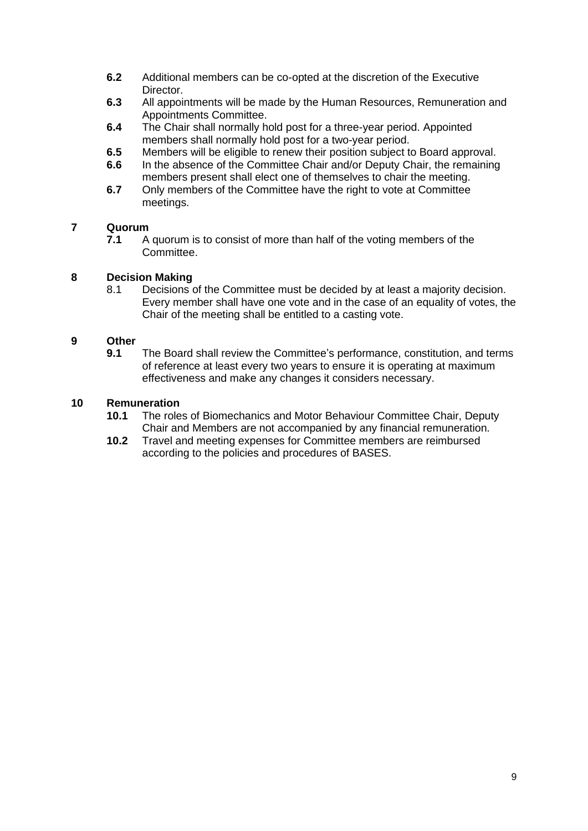- **6.2** Additional members can be co-opted at the discretion of the Executive Director.
- **6.3** All appointments will be made by the Human Resources, Remuneration and Appointments Committee.
- **6.4** The Chair shall normally hold post for a three-year period. Appointed members shall normally hold post for a two-year period.
- **6.5** Members will be eligible to renew their position subject to Board approval.
- **6.6** In the absence of the Committee Chair and/or Deputy Chair, the remaining members present shall elect one of themselves to chair the meeting.
- **6.7** Only members of the Committee have the right to vote at Committee meetings.

**7.1** A quorum is to consist of more than half of the voting members of the Committee.

#### **8 Decision Making**

8.1 Decisions of the Committee must be decided by at least a majority decision. Every member shall have one vote and in the case of an equality of votes, the Chair of the meeting shall be entitled to a casting vote.

#### **9 Other**

**9.1** The Board shall review the Committee's performance, constitution, and terms of reference at least every two years to ensure it is operating at maximum effectiveness and make any changes it considers necessary.

- **10.1** The roles of Biomechanics and Motor Behaviour Committee Chair, Deputy Chair and Members are not accompanied by any financial remuneration.
- **10.2** Travel and meeting expenses for Committee members are reimbursed according to the policies and procedures of BASES.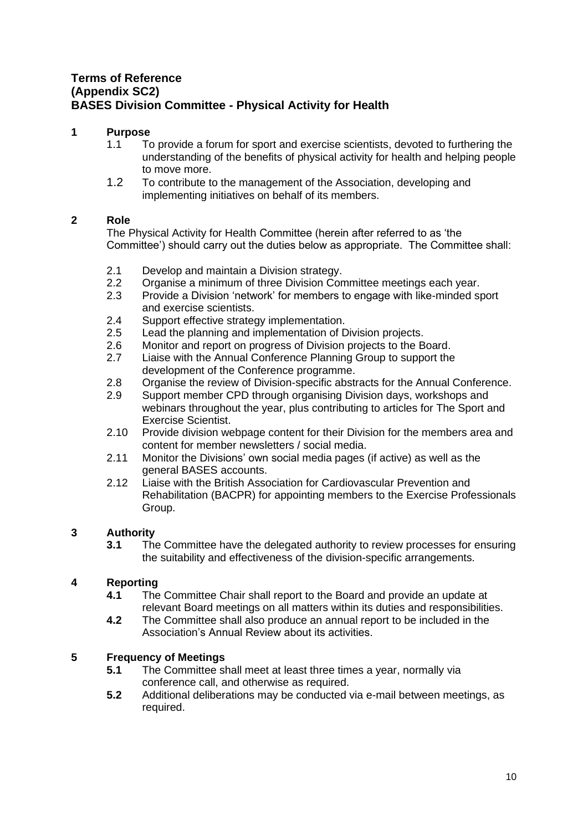# <span id="page-9-0"></span>**Terms of Reference (Appendix SC2) BASES Division Committee - Physical Activity for Health**

## **1 Purpose**

- 1.1 To provide a forum for sport and exercise scientists, devoted to furthering the understanding of the benefits of physical activity for health and helping people to move more.
- 1.2 To contribute to the management of the Association, developing and implementing initiatives on behalf of its members.

## **2 Role**

The Physical Activity for Health Committee (herein after referred to as 'the Committee') should carry out the duties below as appropriate. The Committee shall:

- 2.1 Develop and maintain a Division strategy.
- 2.2 Organise a minimum of three Division Committee meetings each year.
- 2.3 Provide a Division 'network' for members to engage with like-minded sport and exercise scientists.
- 2.4 Support effective strategy implementation.
- 2.5 Lead the planning and implementation of Division projects.
- 2.6 Monitor and report on progress of Division projects to the Board.
- 2.7 Liaise with the Annual Conference Planning Group to support the development of the Conference programme.
- 2.8 Organise the review of Division-specific abstracts for the Annual Conference.<br>2.9 Support member CPD through organising Division days, workshops and
- Support member CPD through organising Division days, workshops and webinars throughout the year, plus contributing to articles for The Sport and Exercise Scientist.
- 2.10 Provide division webpage content for their Division for the members area and content for member newsletters / social media.
- 2.11 Monitor the Divisions' own social media pages (if active) as well as the general BASES accounts.
- 2.12 Liaise with the British Association for Cardiovascular Prevention and Rehabilitation (BACPR) for appointing members to the Exercise Professionals Group.

## **3 Authority**

**3.1** The Committee have the delegated authority to review processes for ensuring the suitability and effectiveness of the division-specific arrangements.

## **4 Reporting**

- **4.1** The Committee Chair shall report to the Board and provide an update at relevant Board meetings on all matters within its duties and responsibilities.
- **4.2** The Committee shall also produce an annual report to be included in the Association's Annual Review about its activities.

#### **5 Frequency of Meetings**

- **5.1** The Committee shall meet at least three times a year, normally via conference call, and otherwise as required.
- **5.2** Additional deliberations may be conducted via e-mail between meetings, as required.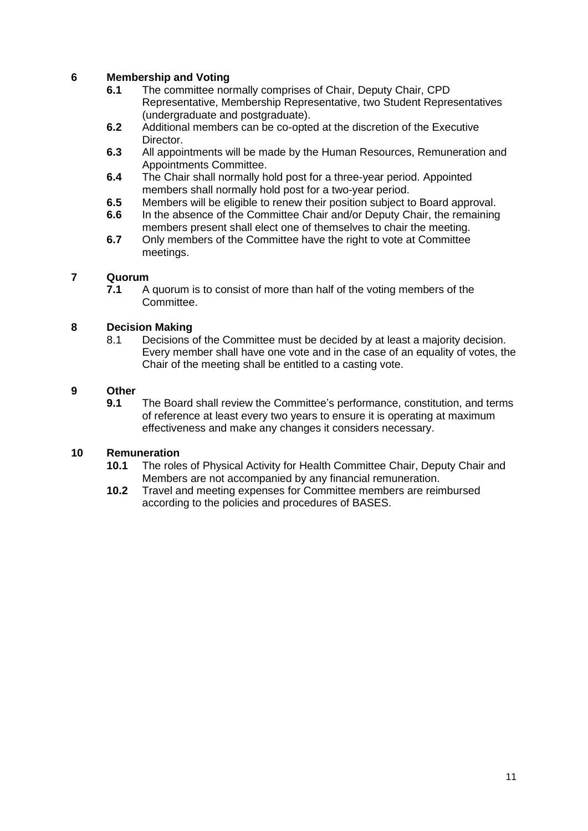## **6 Membership and Voting**

- **6.1** The committee normally comprises of Chair, Deputy Chair, CPD Representative, Membership Representative, two Student Representatives (undergraduate and postgraduate).
- **6.2** Additional members can be co-opted at the discretion of the Executive Director.
- **6.3** All appointments will be made by the Human Resources, Remuneration and Appointments Committee.
- **6.4** The Chair shall normally hold post for a three-year period. Appointed members shall normally hold post for a two-year period.
- **6.5** Members will be eligible to renew their position subject to Board approval.
- **6.6** In the absence of the Committee Chair and/or Deputy Chair, the remaining members present shall elect one of themselves to chair the meeting.
- **6.7** Only members of the Committee have the right to vote at Committee meetings.

## **7 Quorum**

**7.1** A quorum is to consist of more than half of the voting members of the Committee.

## **8 Decision Making**

8.1 Decisions of the Committee must be decided by at least a majority decision. Every member shall have one vote and in the case of an equality of votes, the Chair of the meeting shall be entitled to a casting vote.

#### **9 Other**

**9.1** The Board shall review the Committee's performance, constitution, and terms of reference at least every two years to ensure it is operating at maximum effectiveness and make any changes it considers necessary.

- **10.1** The roles of Physical Activity for Health Committee Chair, Deputy Chair and Members are not accompanied by any financial remuneration.
- **10.2** Travel and meeting expenses for Committee members are reimbursed according to the policies and procedures of BASES.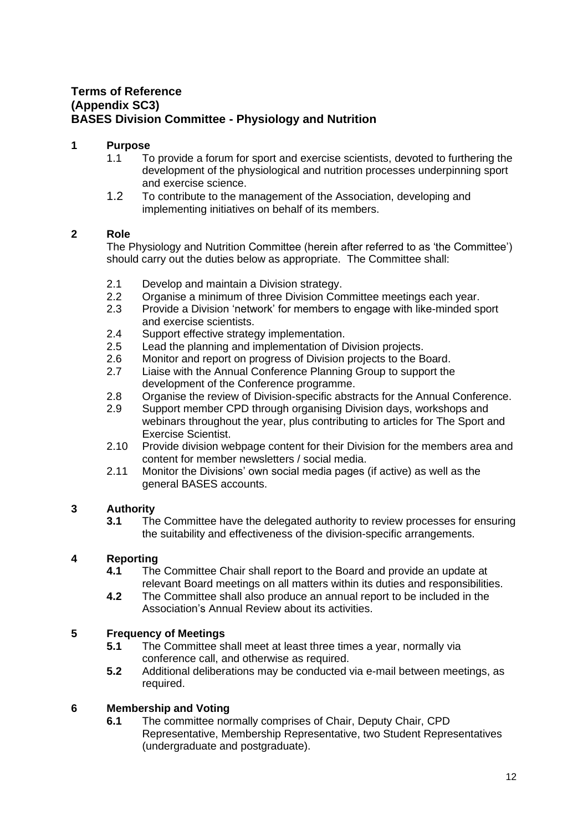# <span id="page-11-0"></span>**Terms of Reference (Appendix SC3) BASES Division Committee - Physiology and Nutrition**

#### **1 Purpose**

- 1.1 To provide a forum for sport and exercise scientists, devoted to furthering the development of the physiological and nutrition processes underpinning sport and exercise science.
- 1.2 To contribute to the management of the Association, developing and implementing initiatives on behalf of its members.

#### **2 Role**

The Physiology and Nutrition Committee (herein after referred to as 'the Committee') should carry out the duties below as appropriate. The Committee shall:

- 2.1 Develop and maintain a Division strategy.
- 2.2 Organise a minimum of three Division Committee meetings each year.
- 2.3 Provide a Division 'network' for members to engage with like-minded sport and exercise scientists.
- 2.4 Support effective strategy implementation.
- 2.5 Lead the planning and implementation of Division projects.
- 2.6 Monitor and report on progress of Division projects to the Board.
- 2.7 Liaise with the Annual Conference Planning Group to support the development of the Conference programme.
- 2.8 Organise the review of Division-specific abstracts for the Annual Conference.
- 2.9 Support member CPD through organising Division days, workshops and webinars throughout the year, plus contributing to articles for The Sport and Exercise Scientist.
- 2.10 Provide division webpage content for their Division for the members area and content for member newsletters / social media.
- 2.11 Monitor the Divisions' own social media pages (if active) as well as the general BASES accounts.

## **3 Authority**

**3.1** The Committee have the delegated authority to review processes for ensuring the suitability and effectiveness of the division-specific arrangements.

# **4 Reporting**

- **4.1** The Committee Chair shall report to the Board and provide an update at relevant Board meetings on all matters within its duties and responsibilities.
- **4.2** The Committee shall also produce an annual report to be included in the Association's Annual Review about its activities.

## **5 Frequency of Meetings**

- **5.1** The Committee shall meet at least three times a year, normally via conference call, and otherwise as required.
- **5.2** Additional deliberations may be conducted via e-mail between meetings, as required.

## **6 Membership and Voting**

**6.1** The committee normally comprises of Chair, Deputy Chair, CPD Representative, Membership Representative, two Student Representatives (undergraduate and postgraduate).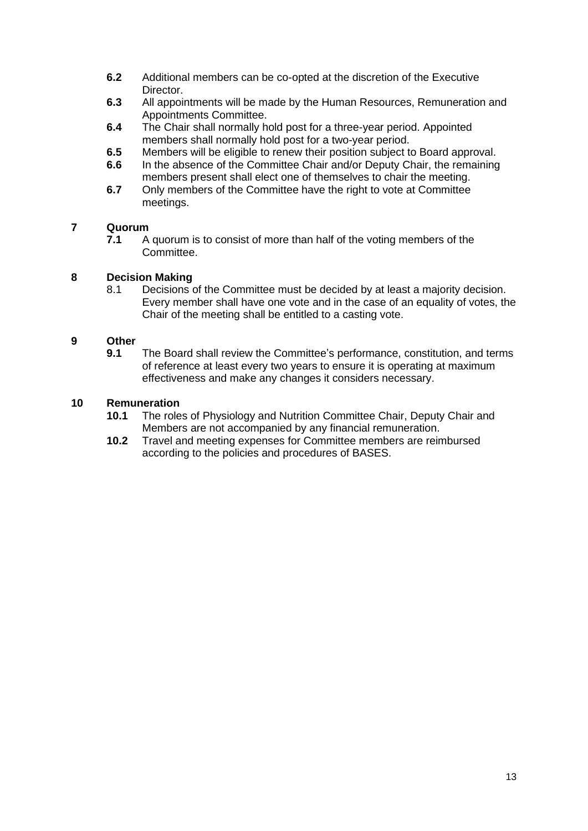- **6.2** Additional members can be co-opted at the discretion of the Executive Director.
- **6.3** All appointments will be made by the Human Resources, Remuneration and Appointments Committee.
- **6.4** The Chair shall normally hold post for a three-year period. Appointed members shall normally hold post for a two-year period.
- **6.5** Members will be eligible to renew their position subject to Board approval.
- **6.6** In the absence of the Committee Chair and/or Deputy Chair, the remaining members present shall elect one of themselves to chair the meeting.
- **6.7** Only members of the Committee have the right to vote at Committee meetings.

**7.1** A quorum is to consist of more than half of the voting members of the Committee.

#### **8 Decision Making**

8.1 Decisions of the Committee must be decided by at least a majority decision. Every member shall have one vote and in the case of an equality of votes, the Chair of the meeting shall be entitled to a casting vote.

#### **9 Other**

**9.1** The Board shall review the Committee's performance, constitution, and terms of reference at least every two years to ensure it is operating at maximum effectiveness and make any changes it considers necessary.

- **10.1** The roles of Physiology and Nutrition Committee Chair, Deputy Chair and Members are not accompanied by any financial remuneration.
- **10.2** Travel and meeting expenses for Committee members are reimbursed according to the policies and procedures of BASES.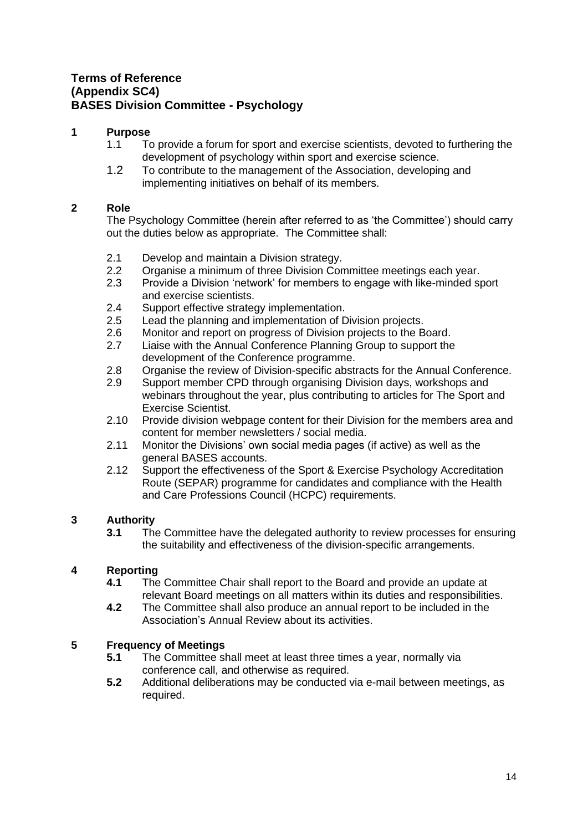# <span id="page-13-0"></span>**Terms of Reference (Appendix SC4) BASES Division Committee - Psychology**

## **1 Purpose**

- 1.1 To provide a forum for sport and exercise scientists, devoted to furthering the development of psychology within sport and exercise science.
- 1.2 To contribute to the management of the Association, developing and implementing initiatives on behalf of its members.

## **2 Role**

The Psychology Committee (herein after referred to as 'the Committee') should carry out the duties below as appropriate. The Committee shall:

- 2.1 Develop and maintain a Division strategy.
- 2.2 Organise a minimum of three Division Committee meetings each year.
- 2.3 Provide a Division 'network' for members to engage with like-minded sport and exercise scientists.
- 2.4 Support effective strategy implementation.<br>2.5 Lead the planning and implementation of D
- Lead the planning and implementation of Division projects.
- 2.6 Monitor and report on progress of Division projects to the Board.
- 2.7 Liaise with the Annual Conference Planning Group to support the development of the Conference programme.
- 2.8 Organise the review of Division-specific abstracts for the Annual Conference.
- 2.9 Support member CPD through organising Division days, workshops and webinars throughout the year, plus contributing to articles for The Sport and Exercise Scientist.
- 2.10 Provide division webpage content for their Division for the members area and content for member newsletters / social media.
- 2.11 Monitor the Divisions' own social media pages (if active) as well as the general BASES accounts.
- 2.12 Support the effectiveness of the Sport & Exercise Psychology Accreditation Route (SEPAR) programme for candidates and compliance with the Health and Care Professions Council (HCPC) requirements.

## **3 Authority**

**3.1** The Committee have the delegated authority to review processes for ensuring the suitability and effectiveness of the division-specific arrangements.

## **4 Reporting**

- **4.1** The Committee Chair shall report to the Board and provide an update at relevant Board meetings on all matters within its duties and responsibilities.
- **4.2** The Committee shall also produce an annual report to be included in the Association's Annual Review about its activities.

## **5 Frequency of Meetings**

- **5.1** The Committee shall meet at least three times a year, normally via conference call, and otherwise as required.
- **5.2** Additional deliberations may be conducted via e-mail between meetings, as required.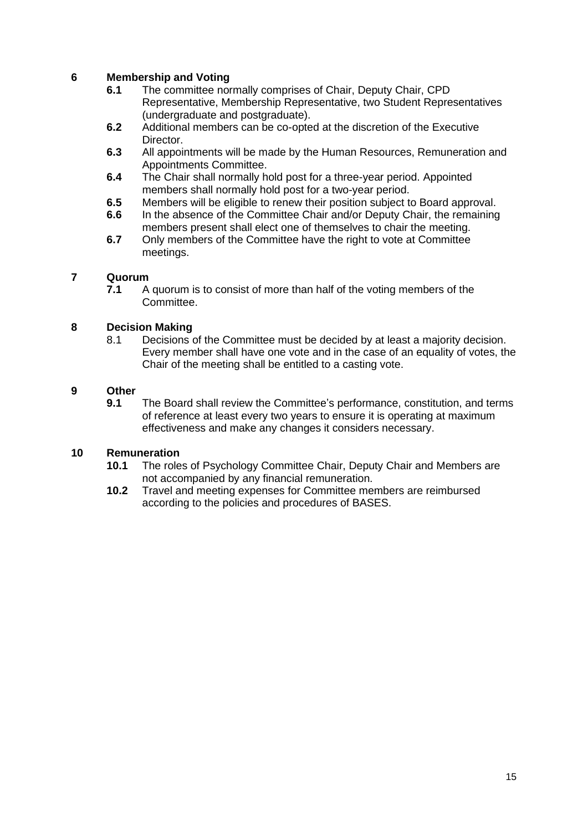## **6 Membership and Voting**

- **6.1** The committee normally comprises of Chair, Deputy Chair, CPD Representative, Membership Representative, two Student Representatives (undergraduate and postgraduate).
- **6.2** Additional members can be co-opted at the discretion of the Executive Director.
- **6.3** All appointments will be made by the Human Resources, Remuneration and Appointments Committee.
- **6.4** The Chair shall normally hold post for a three-year period. Appointed members shall normally hold post for a two-year period.
- **6.5** Members will be eligible to renew their position subject to Board approval.
- **6.6** In the absence of the Committee Chair and/or Deputy Chair, the remaining members present shall elect one of themselves to chair the meeting.
- **6.7** Only members of the Committee have the right to vote at Committee meetings.

## **7 Quorum**

**7.1** A quorum is to consist of more than half of the voting members of the Committee.

## **8 Decision Making**

8.1 Decisions of the Committee must be decided by at least a majority decision. Every member shall have one vote and in the case of an equality of votes, the Chair of the meeting shall be entitled to a casting vote.

#### **9 Other**

**9.1** The Board shall review the Committee's performance, constitution, and terms of reference at least every two years to ensure it is operating at maximum effectiveness and make any changes it considers necessary.

- **10.1** The roles of Psychology Committee Chair, Deputy Chair and Members are not accompanied by any financial remuneration.
- **10.2** Travel and meeting expenses for Committee members are reimbursed according to the policies and procedures of BASES.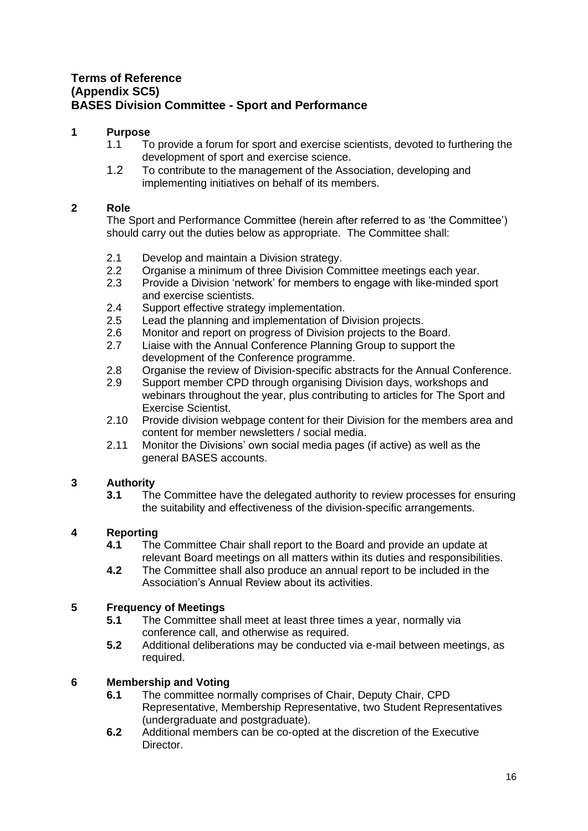# <span id="page-15-0"></span>**Terms of Reference (Appendix SC5) BASES Division Committee - Sport and Performance**

## **1 Purpose**

- 1.1 To provide a forum for sport and exercise scientists, devoted to furthering the development of sport and exercise science.
- 1.2 To contribute to the management of the Association, developing and implementing initiatives on behalf of its members.

## **2 Role**

The Sport and Performance Committee (herein after referred to as 'the Committee') should carry out the duties below as appropriate. The Committee shall:

- 2.1 Develop and maintain a Division strategy.
- 2.2 Organise a minimum of three Division Committee meetings each year.
- 2.3 Provide a Division 'network' for members to engage with like-minded sport and exercise scientists.
- 2.4 Support effective strategy implementation.<br>2.5 Lead the planning and implementation of D
- Lead the planning and implementation of Division projects.
- 2.6 Monitor and report on progress of Division projects to the Board.
- 2.7 Liaise with the Annual Conference Planning Group to support the development of the Conference programme.
- 2.8 Organise the review of Division-specific abstracts for the Annual Conference.
- 2.9 Support member CPD through organising Division days, workshops and webinars throughout the year, plus contributing to articles for The Sport and Exercise Scientist.
- 2.10 Provide division webpage content for their Division for the members area and content for member newsletters / social media.
- 2.11 Monitor the Divisions' own social media pages (if active) as well as the general BASES accounts.

# **3 Authority**

**3.1** The Committee have the delegated authority to review processes for ensuring the suitability and effectiveness of the division-specific arrangements.

## **4 Reporting**

- **4.1** The Committee Chair shall report to the Board and provide an update at relevant Board meetings on all matters within its duties and responsibilities.
- **4.2** The Committee shall also produce an annual report to be included in the Association's Annual Review about its activities.

## **5 Frequency of Meetings**

- **5.1** The Committee shall meet at least three times a year, normally via conference call, and otherwise as required.
- **5.2** Additional deliberations may be conducted via e-mail between meetings, as required.

- **6.1** The committee normally comprises of Chair, Deputy Chair, CPD Representative, Membership Representative, two Student Representatives (undergraduate and postgraduate).
- **6.2** Additional members can be co-opted at the discretion of the Executive Director.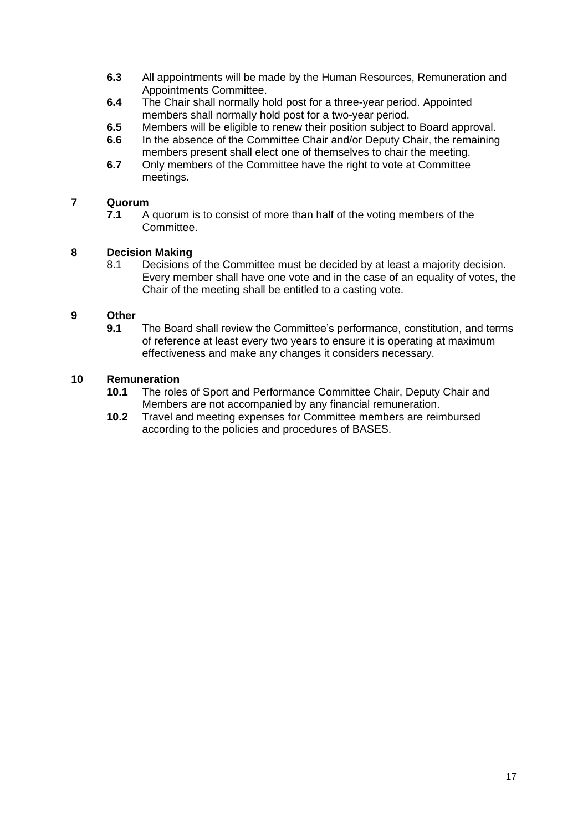- **6.3** All appointments will be made by the Human Resources, Remuneration and Appointments Committee.
- **6.4** The Chair shall normally hold post for a three-year period. Appointed members shall normally hold post for a two-year period.
- **6.5** Members will be eligible to renew their position subject to Board approval.
- **6.6** In the absence of the Committee Chair and/or Deputy Chair, the remaining members present shall elect one of themselves to chair the meeting.
- **6.7** Only members of the Committee have the right to vote at Committee meetings.

**7.1** A quorum is to consist of more than half of the voting members of the Committee.

#### **8 Decision Making**

8.1 Decisions of the Committee must be decided by at least a majority decision. Every member shall have one vote and in the case of an equality of votes, the Chair of the meeting shall be entitled to a casting vote.

#### **9 Other**

**9.1** The Board shall review the Committee's performance, constitution, and terms of reference at least every two years to ensure it is operating at maximum effectiveness and make any changes it considers necessary.

- **10.1** The roles of Sport and Performance Committee Chair, Deputy Chair and Members are not accompanied by any financial remuneration.
- **10.2** Travel and meeting expenses for Committee members are reimbursed according to the policies and procedures of BASES.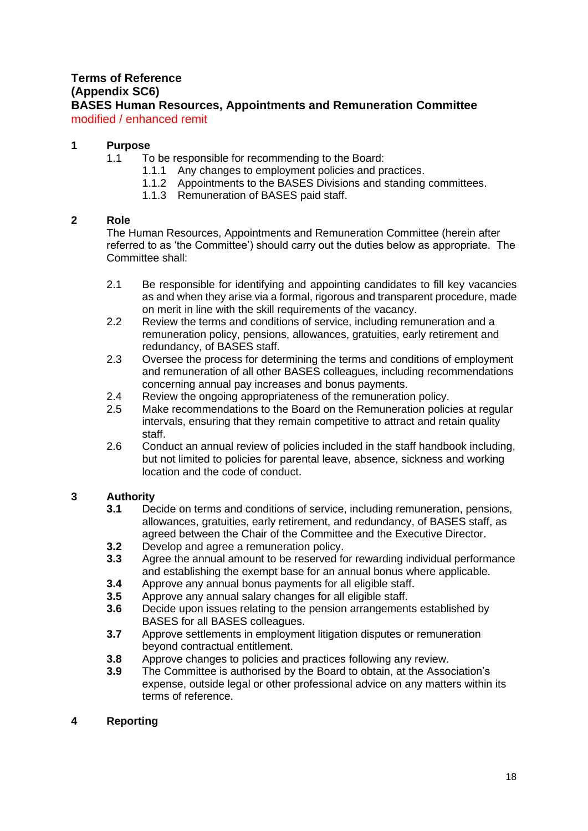# **Terms of Reference (Appendix SC6)**

<span id="page-17-0"></span>**BASES Human Resources, Appointments and Remuneration Committee** modified / enhanced remit

## **1 Purpose**

- 1.1 To be responsible for recommending to the Board:
	- 1.1.1 Any changes to employment policies and practices.
	- 1.1.2 Appointments to the BASES Divisions and standing committees.
	- 1.1.3 Remuneration of BASES paid staff.

## **2 Role**

The Human Resources, Appointments and Remuneration Committee (herein after referred to as 'the Committee') should carry out the duties below as appropriate. The Committee shall:

- 2.1 Be responsible for identifying and appointing candidates to fill key vacancies as and when they arise via a formal, rigorous and transparent procedure, made on merit in line with the skill requirements of the vacancy.
- 2.2 Review the terms and conditions of service, including remuneration and a remuneration policy, pensions, allowances, gratuities, early retirement and redundancy, of BASES staff.
- 2.3 Oversee the process for determining the terms and conditions of employment and remuneration of all other BASES colleagues, including recommendations concerning annual pay increases and bonus payments.
- 2.4 Review the ongoing appropriateness of the remuneration policy.
- 2.5 Make recommendations to the Board on the Remuneration policies at regular intervals, ensuring that they remain competitive to attract and retain quality staff.
- 2.6 Conduct an annual review of policies included in the staff handbook including, but not limited to policies for parental leave, absence, sickness and working location and the code of conduct.

## **3 Authority**

- **3.1** Decide on terms and conditions of service, including remuneration, pensions, allowances, gratuities, early retirement, and redundancy, of BASES staff, as agreed between the Chair of the Committee and the Executive Director.
- **3.2** Develop and agree a remuneration policy.
- **3.3** Agree the annual amount to be reserved for rewarding individual performance and establishing the exempt base for an annual bonus where applicable.
- **3.4** Approve any annual bonus payments for all eligible staff.
- **3.5** Approve any annual salary changes for all eligible staff.
- **3.6** Decide upon issues relating to the pension arrangements established by BASES for all BASES colleagues.
- **3.7** Approve settlements in employment litigation disputes or remuneration beyond contractual entitlement.
- **3.8** Approve changes to policies and practices following any review.
- **3.9** The Committee is authorised by the Board to obtain, at the Association's expense, outside legal or other professional advice on any matters within its terms of reference.

## **4 Reporting**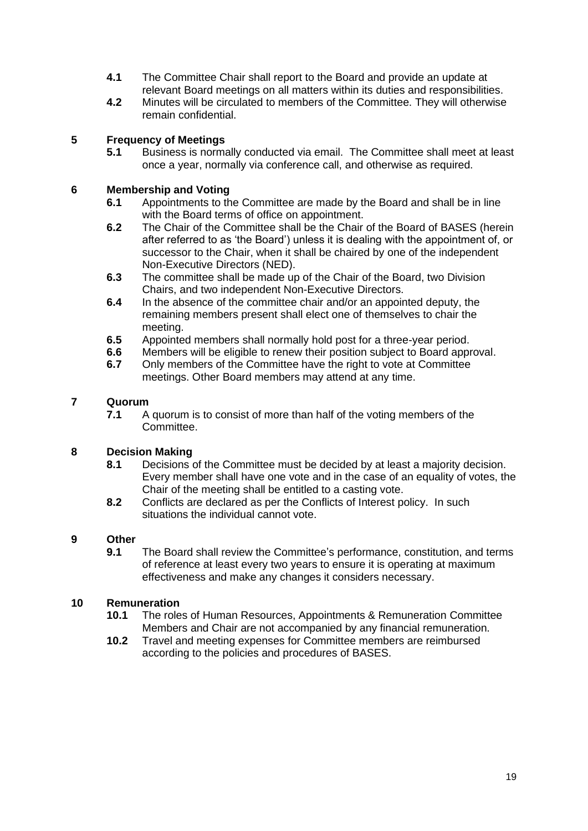- **4.1** The Committee Chair shall report to the Board and provide an update at relevant Board meetings on all matters within its duties and responsibilities.
- **4.2** Minutes will be circulated to members of the Committee. They will otherwise remain confidential.

## **5 Frequency of Meetings**

**5.1** Business is normally conducted via email. The Committee shall meet at least once a year, normally via conference call, and otherwise as required.

## **6 Membership and Voting**

- **6.1** Appointments to the Committee are made by the Board and shall be in line with the Board terms of office on appointment.
- **6.2** The Chair of the Committee shall be the Chair of the Board of BASES (herein after referred to as 'the Board') unless it is dealing with the appointment of, or successor to the Chair, when it shall be chaired by one of the independent Non-Executive Directors (NED).
- **6.3** The committee shall be made up of the Chair of the Board, two Division Chairs, and two independent Non-Executive Directors.
- **6.4** In the absence of the committee chair and/or an appointed deputy, the remaining members present shall elect one of themselves to chair the meeting.
- **6.5** Appointed members shall normally hold post for a three-year period.
- **6.6** Members will be eligible to renew their position subject to Board approval.
- **6.7** Only members of the Committee have the right to vote at Committee meetings. Other Board members may attend at any time.

## **7 Quorum**

**7.1** A quorum is to consist of more than half of the voting members of the Committee.

#### **8 Decision Making**

- **8.1** Decisions of the Committee must be decided by at least a majority decision. Every member shall have one vote and in the case of an equality of votes, the Chair of the meeting shall be entitled to a casting vote.
- **8.2** Conflicts are declared as per the Conflicts of Interest policy. In such situations the individual cannot vote.

#### **9 Other**

**9.1** The Board shall review the Committee's performance, constitution, and terms of reference at least every two years to ensure it is operating at maximum effectiveness and make any changes it considers necessary.

- **10.1** The roles of Human Resources, Appointments & Remuneration Committee Members and Chair are not accompanied by any financial remuneration.
- **10.2** Travel and meeting expenses for Committee members are reimbursed according to the policies and procedures of BASES.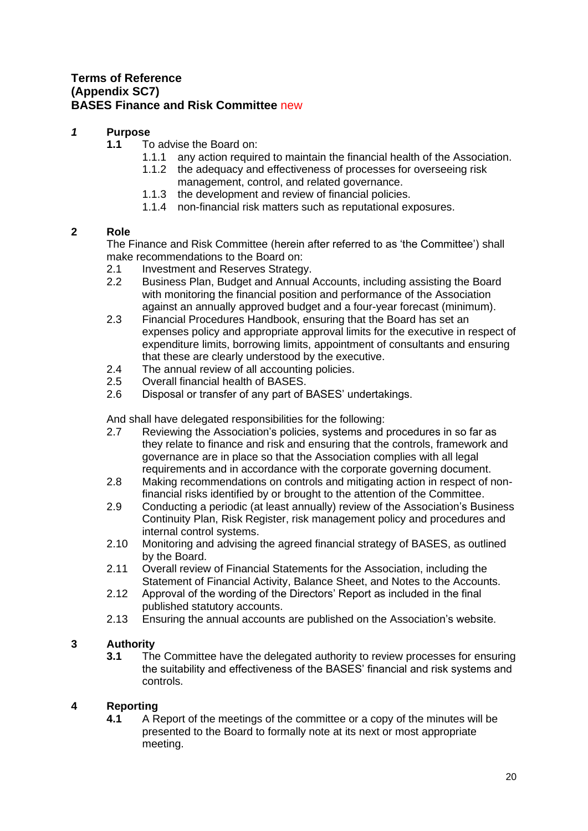## <span id="page-19-0"></span>**Terms of Reference (Appendix SC7) BASES Finance and Risk Committee** new

## *1* **Purpose**

- **1.1** To advise the Board on:
	- 1.1.1 any action required to maintain the financial health of the Association.
	- 1.1.2 the adequacy and effectiveness of processes for overseeing risk management, control, and related governance.
	- 1.1.3 the development and review of financial policies.
	- 1.1.4 non-financial risk matters such as reputational exposures.

## **2 Role**

The Finance and Risk Committee (herein after referred to as 'the Committee') shall make recommendations to the Board on:

- 2.1 Investment and Reserves Strategy.
- 2.2 Business Plan, Budget and Annual Accounts, including assisting the Board with monitoring the financial position and performance of the Association against an annually approved budget and a four-year forecast (minimum).
- 2.3 Financial Procedures Handbook, ensuring that the Board has set an expenses policy and appropriate approval limits for the executive in respect of expenditure limits, borrowing limits, appointment of consultants and ensuring that these are clearly understood by the executive.
- 2.4 The annual review of all accounting policies.
- 2.5 Overall financial health of BASES.
- 2.6 Disposal or transfer of any part of BASES' undertakings.

And shall have delegated responsibilities for the following:

- 2.7 Reviewing the Association's policies, systems and procedures in so far as they relate to finance and risk and ensuring that the controls, framework and governance are in place so that the Association complies with all legal requirements and in accordance with the corporate governing document.
- 2.8 Making recommendations on controls and mitigating action in respect of nonfinancial risks identified by or brought to the attention of the Committee.
- 2.9 Conducting a periodic (at least annually) review of the Association's Business Continuity Plan, Risk Register, risk management policy and procedures and internal control systems.
- 2.10 Monitoring and advising the agreed financial strategy of BASES, as outlined by the Board.
- 2.11 Overall review of Financial Statements for the Association, including the Statement of Financial Activity, Balance Sheet, and Notes to the Accounts.
- 2.12 Approval of the wording of the Directors' Report as included in the final published statutory accounts.
- 2.13 Ensuring the annual accounts are published on the Association's website.

## **3 Authority**

**3.1** The Committee have the delegated authority to review processes for ensuring the suitability and effectiveness of the BASES' financial and risk systems and controls.

## **4 Reporting**

**4.1** A Report of the meetings of the committee or a copy of the minutes will be presented to the Board to formally note at its next or most appropriate meeting.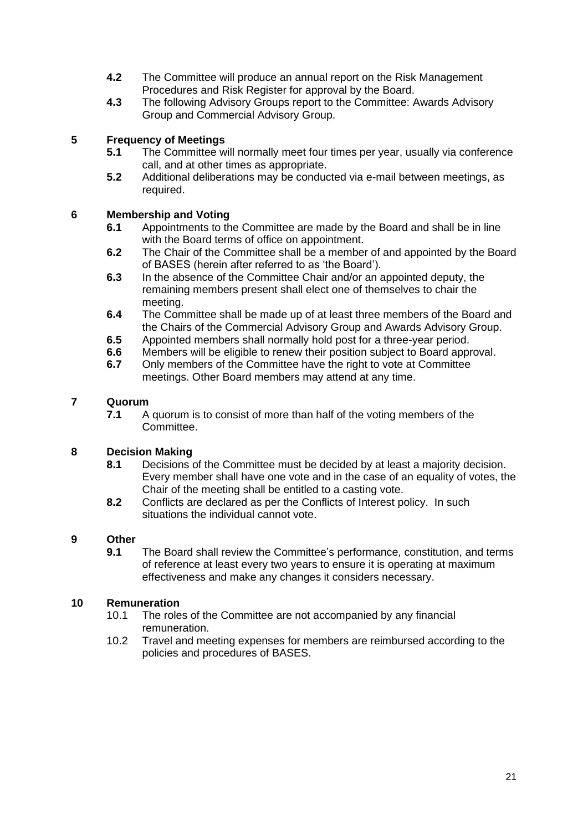- **4.2** The Committee will produce an annual report on the Risk Management Procedures and Risk Register for approval by the Board.
- **4.3** The following Advisory Groups report to the Committee: Awards Advisory Group and Commercial Advisory Group.

## **5 Frequency of Meetings**

- **5.1** The Committee will normally meet four times per year, usually via conference call, and at other times as appropriate.
- **5.2** Additional deliberations may be conducted via e-mail between meetings, as required.

## **6 Membership and Voting**

- **6.1** Appointments to the Committee are made by the Board and shall be in line with the Board terms of office on appointment.
- **6.2** The Chair of the Committee shall be a member of and appointed by the Board of BASES (herein after referred to as 'the Board').
- **6.3** In the absence of the Committee Chair and/or an appointed deputy, the remaining members present shall elect one of themselves to chair the meeting.
- **6.4** The Committee shall be made up of at least three members of the Board and the Chairs of the Commercial Advisory Group and Awards Advisory Group.
- **6.5** Appointed members shall normally hold post for a three-year period.
- **6.6** Members will be eligible to renew their position subject to Board approval.
- **6.7** Only members of the Committee have the right to vote at Committee meetings. Other Board members may attend at any time.

#### **7 Quorum**

**7.1** A quorum is to consist of more than half of the voting members of the Committee.

#### **8 Decision Making**

- **8.1** Decisions of the Committee must be decided by at least a majority decision. Every member shall have one vote and in the case of an equality of votes, the Chair of the meeting shall be entitled to a casting vote.
- **8.2** Conflicts are declared as per the Conflicts of Interest policy. In such situations the individual cannot vote.

#### **9 Other**

**9.1** The Board shall review the Committee's performance, constitution, and terms of reference at least every two years to ensure it is operating at maximum effectiveness and make any changes it considers necessary.

- 10.1 The roles of the Committee are not accompanied by any financial remuneration.
- 10.2 Travel and meeting expenses for members are reimbursed according to the policies and procedures of BASES.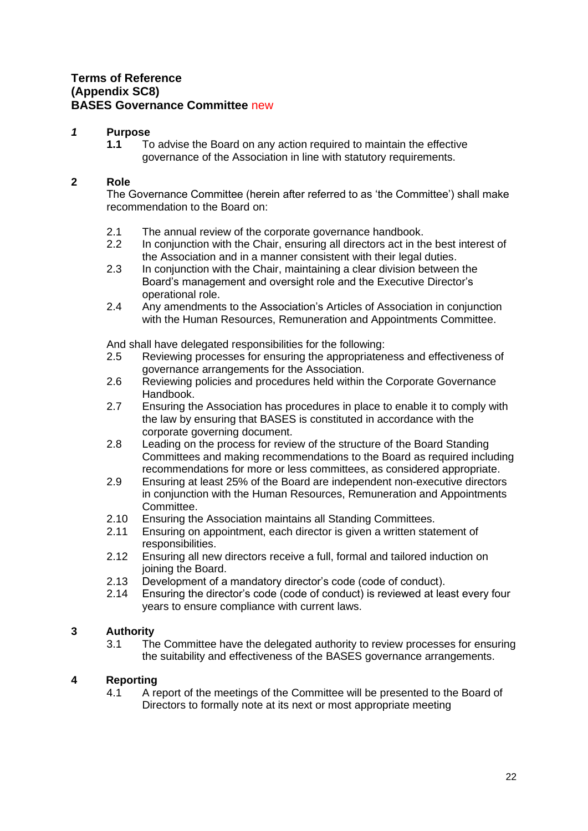## <span id="page-21-0"></span>**Terms of Reference (Appendix SC8) BASES Governance Committee** new

## *1* **Purpose**

**1.1** To advise the Board on any action required to maintain the effective governance of the Association in line with statutory requirements.

## **2 Role**

The Governance Committee (herein after referred to as 'the Committee') shall make recommendation to the Board on:

- 2.1 The annual review of the corporate governance handbook.<br>2.2 In conjunction with the Chair, ensuring all directors act in th
- In conjunction with the Chair, ensuring all directors act in the best interest of the Association and in a manner consistent with their legal duties.
- 2.3 In conjunction with the Chair, maintaining a clear division between the Board's management and oversight role and the Executive Director's operational role.
- 2.4 Any amendments to the Association's Articles of Association in conjunction with the Human Resources, Remuneration and Appointments Committee.

And shall have delegated responsibilities for the following:

- 2.5 Reviewing processes for ensuring the appropriateness and effectiveness of governance arrangements for the Association.
- 2.6 Reviewing policies and procedures held within the Corporate Governance Handbook.
- 2.7 Ensuring the Association has procedures in place to enable it to comply with the law by ensuring that BASES is constituted in accordance with the corporate governing document.
- 2.8 Leading on the process for review of the structure of the Board Standing Committees and making recommendations to the Board as required including recommendations for more or less committees, as considered appropriate.
- 2.9 Ensuring at least 25% of the Board are independent non-executive directors in conjunction with the Human Resources, Remuneration and Appointments Committee.
- 2.10 Ensuring the Association maintains all Standing Committees.
- 2.11 Ensuring on appointment, each director is given a written statement of responsibilities.
- 2.12 Ensuring all new directors receive a full, formal and tailored induction on joining the Board.
- 2.13 Development of a mandatory director's code (code of conduct).
- 2.14 Ensuring the director's code (code of conduct) is reviewed at least every four years to ensure compliance with current laws.

## **3 Authority**

3.1 The Committee have the delegated authority to review processes for ensuring the suitability and effectiveness of the BASES governance arrangements.

## **4 Reporting**

4.1 A report of the meetings of the Committee will be presented to the Board of Directors to formally note at its next or most appropriate meeting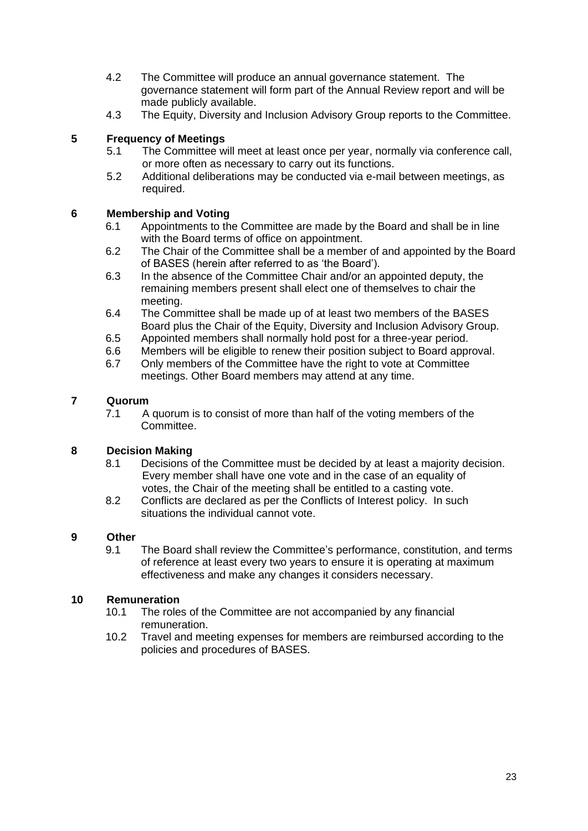- 4.2 The Committee will produce an annual governance statement. The governance statement will form part of the Annual Review report and will be made publicly available.
- 4.3 The Equity, Diversity and Inclusion Advisory Group reports to the Committee.

## **5 Frequency of Meetings**

- 5.1 The Committee will meet at least once per year, normally via conference call, or more often as necessary to carry out its functions.
- 5.2 Additional deliberations may be conducted via e-mail between meetings, as required.

## **6 Membership and Voting**

- 6.1 Appointments to the Committee are made by the Board and shall be in line with the Board terms of office on appointment.
- 6.2 The Chair of the Committee shall be a member of and appointed by the Board of BASES (herein after referred to as 'the Board').
- 6.3 In the absence of the Committee Chair and/or an appointed deputy, the remaining members present shall elect one of themselves to chair the meeting.
- 6.4 The Committee shall be made up of at least two members of the BASES Board plus the Chair of the Equity, Diversity and Inclusion Advisory Group.
- 6.5 Appointed members shall normally hold post for a three-year period.<br>6.6 Members will be eligible to renew their position subject to Board appro
- Members will be eligible to renew their position subject to Board approval.
- 6.7 Only members of the Committee have the right to vote at Committee meetings. Other Board members may attend at any time.

## **7 Quorum**

7.1 A quorum is to consist of more than half of the voting members of the Committee.

#### **8 Decision Making**

- 8.1 Decisions of the Committee must be decided by at least a majority decision. Every member shall have one vote and in the case of an equality of votes, the Chair of the meeting shall be entitled to a casting vote.
- 8.2 Conflicts are declared as per the Conflicts of Interest policy. In such situations the individual cannot vote.

#### **9 Other**

9.1 The Board shall review the Committee's performance, constitution, and terms of reference at least every two years to ensure it is operating at maximum effectiveness and make any changes it considers necessary.

- 10.1 The roles of the Committee are not accompanied by any financial remuneration.
- 10.2 Travel and meeting expenses for members are reimbursed according to the policies and procedures of BASES.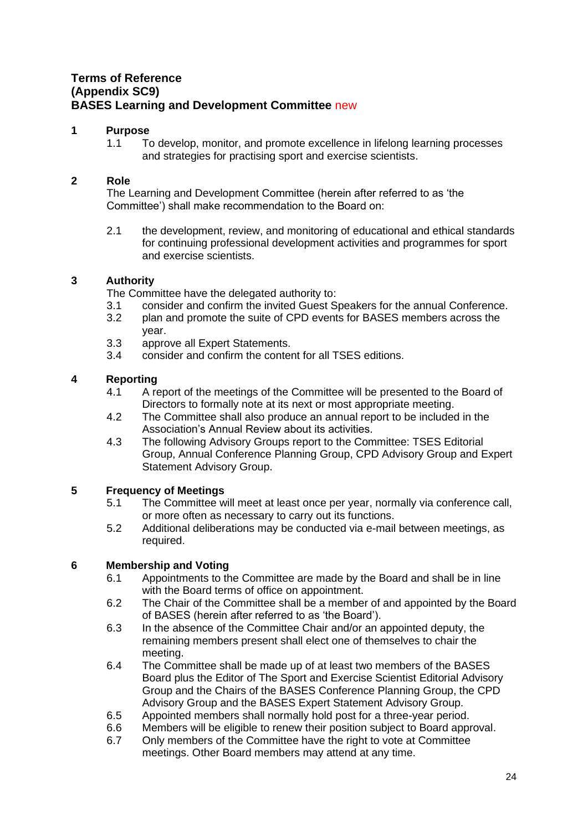# <span id="page-23-0"></span>**Terms of Reference (Appendix SC9) BASES Learning and Development Committee** new

## **1 Purpose**

1.1 To develop, monitor, and promote excellence in lifelong learning processes and strategies for practising sport and exercise scientists.

## **2 Role**

The Learning and Development Committee (herein after referred to as 'the Committee') shall make recommendation to the Board on:

2.1 the development, review, and monitoring of educational and ethical standards for continuing professional development activities and programmes for sport and exercise scientists.

## **3 Authority**

The Committee have the delegated authority to:

- 3.1 consider and confirm the invited Guest Speakers for the annual Conference.
- 3.2 plan and promote the suite of CPD events for BASES members across the year.
- 3.3 approve all Expert Statements.
- 3.4 consider and confirm the content for all TSES editions.

## **4 Reporting**

- 4.1 A report of the meetings of the Committee will be presented to the Board of Directors to formally note at its next or most appropriate meeting.
- 4.2 The Committee shall also produce an annual report to be included in the Association's Annual Review about its activities.
- 4.3 The following Advisory Groups report to the Committee: TSES Editorial Group, Annual Conference Planning Group, CPD Advisory Group and Expert Statement Advisory Group.

## **5 Frequency of Meetings**

- 5.1 The Committee will meet at least once per year, normally via conference call, or more often as necessary to carry out its functions.
- 5.2 Additional deliberations may be conducted via e-mail between meetings, as required.

- 6.1 Appointments to the Committee are made by the Board and shall be in line with the Board terms of office on appointment.
- 6.2 The Chair of the Committee shall be a member of and appointed by the Board of BASES (herein after referred to as 'the Board').
- 6.3 In the absence of the Committee Chair and/or an appointed deputy, the remaining members present shall elect one of themselves to chair the meeting.
- 6.4 The Committee shall be made up of at least two members of the BASES Board plus the Editor of The Sport and Exercise Scientist Editorial Advisory Group and the Chairs of the BASES Conference Planning Group, the CPD Advisory Group and the BASES Expert Statement Advisory Group.
- 6.5 Appointed members shall normally hold post for a three-year period.
- 6.6 Members will be eligible to renew their position subject to Board approval.
- 6.7 Only members of the Committee have the right to vote at Committee meetings. Other Board members may attend at any time.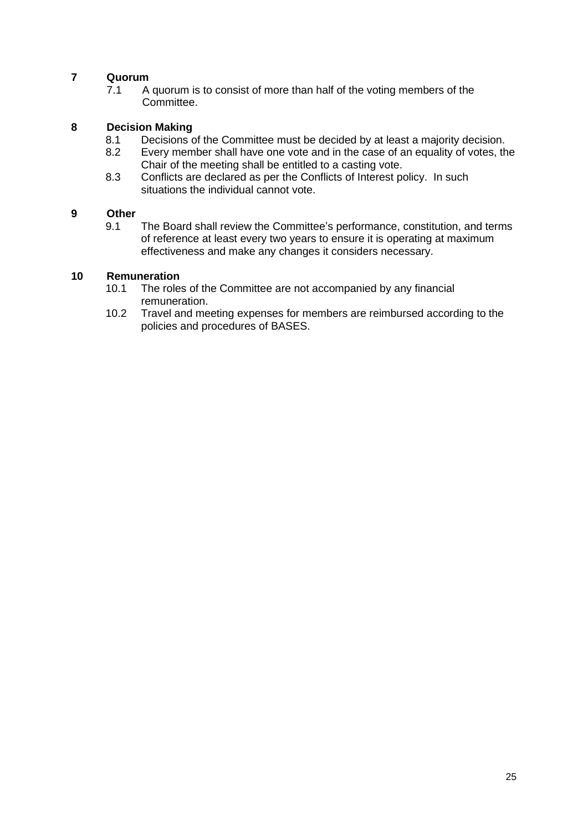7.1 A quorum is to consist of more than half of the voting members of the Committee.

## **8 Decision Making**

- 8.1 Decisions of the Committee must be decided by at least a majority decision.
- 8.2 Every member shall have one vote and in the case of an equality of votes, the Chair of the meeting shall be entitled to a casting vote.
- 8.3 Conflicts are declared as per the Conflicts of Interest policy. In such situations the individual cannot vote.

#### **9 Other**

9.1 The Board shall review the Committee's performance, constitution, and terms of reference at least every two years to ensure it is operating at maximum effectiveness and make any changes it considers necessary.

- 10.1 The roles of the Committee are not accompanied by any financial remuneration.
- 10.2 Travel and meeting expenses for members are reimbursed according to the policies and procedures of BASES.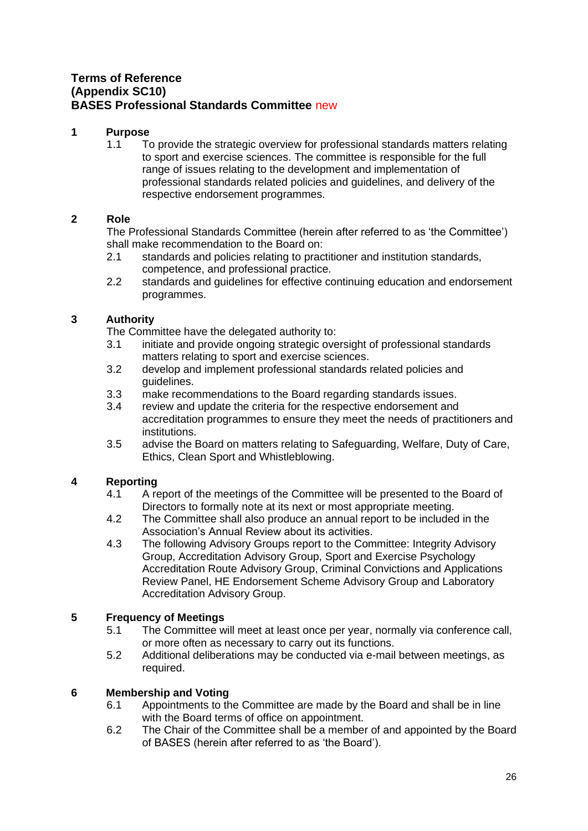# <span id="page-25-0"></span>**Terms of Reference (Appendix SC10) BASES Professional Standards Committee** new

#### **1 Purpose**

1.1 To provide the strategic overview for professional standards matters relating to sport and exercise sciences. The committee is responsible for the full range of issues relating to the development and implementation of professional standards related policies and guidelines, and delivery of the respective endorsement programmes.

## **2 Role**

The Professional Standards Committee (herein after referred to as 'the Committee') shall make recommendation to the Board on:

- 2.1 standards and policies relating to practitioner and institution standards, competence, and professional practice.
- 2.2 standards and guidelines for effective continuing education and endorsement programmes.

## **3 Authority**

The Committee have the delegated authority to:

- 3.1 initiate and provide ongoing strategic oversight of professional standards matters relating to sport and exercise sciences.
- 3.2 develop and implement professional standards related policies and guidelines.
- 3.3 make recommendations to the Board regarding standards issues.
- 3.4 review and update the criteria for the respective endorsement and accreditation programmes to ensure they meet the needs of practitioners and institutions.
- 3.5 advise the Board on matters relating to Safeguarding, Welfare, Duty of Care, Ethics, Clean Sport and Whistleblowing.

## **4 Reporting**

- 4.1 A report of the meetings of the Committee will be presented to the Board of Directors to formally note at its next or most appropriate meeting.
- 4.2 The Committee shall also produce an annual report to be included in the Association's Annual Review about its activities.
- 4.3 The following Advisory Groups report to the Committee: Integrity Advisory Group, Accreditation Advisory Group, Sport and Exercise Psychology Accreditation Route Advisory Group, Criminal Convictions and Applications Review Panel, HE Endorsement Scheme Advisory Group and Laboratory Accreditation Advisory Group.

## **5 Frequency of Meetings**

- 5.1 The Committee will meet at least once per year, normally via conference call, or more often as necessary to carry out its functions.
- 5.2 Additional deliberations may be conducted via e-mail between meetings, as required.

- 6.1 Appointments to the Committee are made by the Board and shall be in line with the Board terms of office on appointment.
- 6.2 The Chair of the Committee shall be a member of and appointed by the Board of BASES (herein after referred to as 'the Board').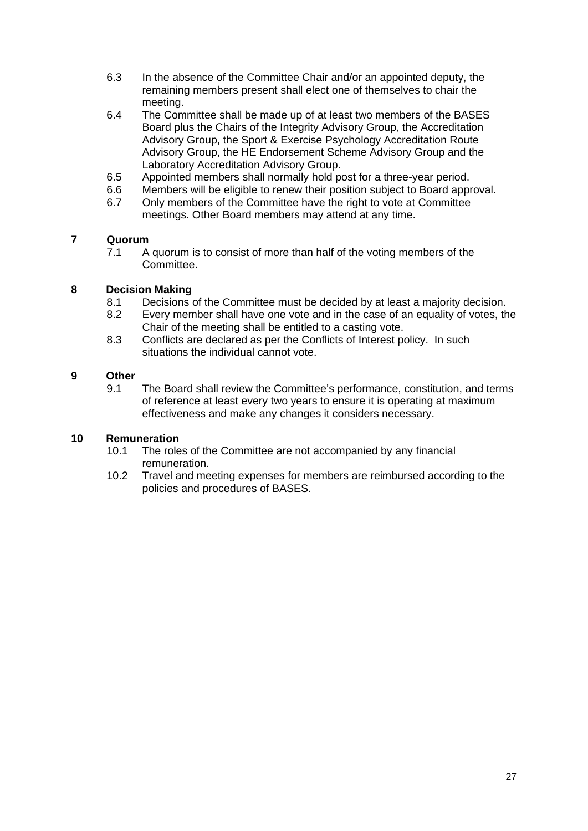- 6.3 In the absence of the Committee Chair and/or an appointed deputy, the remaining members present shall elect one of themselves to chair the meeting.
- 6.4 The Committee shall be made up of at least two members of the BASES Board plus the Chairs of the Integrity Advisory Group, the Accreditation Advisory Group, the Sport & Exercise Psychology Accreditation Route Advisory Group, the HE Endorsement Scheme Advisory Group and the Laboratory Accreditation Advisory Group.
- 6.5 Appointed members shall normally hold post for a three-year period.
- 6.6 Members will be eligible to renew their position subject to Board approval.
- 6.7 Only members of the Committee have the right to vote at Committee meetings. Other Board members may attend at any time.

7.1 A quorum is to consist of more than half of the voting members of the Committee.

## **8 Decision Making**

- 8.1 Decisions of the Committee must be decided by at least a majority decision.
- 8.2 Every member shall have one vote and in the case of an equality of votes, the Chair of the meeting shall be entitled to a casting vote.
- 8.3 Conflicts are declared as per the Conflicts of Interest policy. In such situations the individual cannot vote.

#### **9 Other**

9.1 The Board shall review the Committee's performance, constitution, and terms of reference at least every two years to ensure it is operating at maximum effectiveness and make any changes it considers necessary.

- 10.1 The roles of the Committee are not accompanied by any financial remuneration.
- 10.2 Travel and meeting expenses for members are reimbursed according to the policies and procedures of BASES.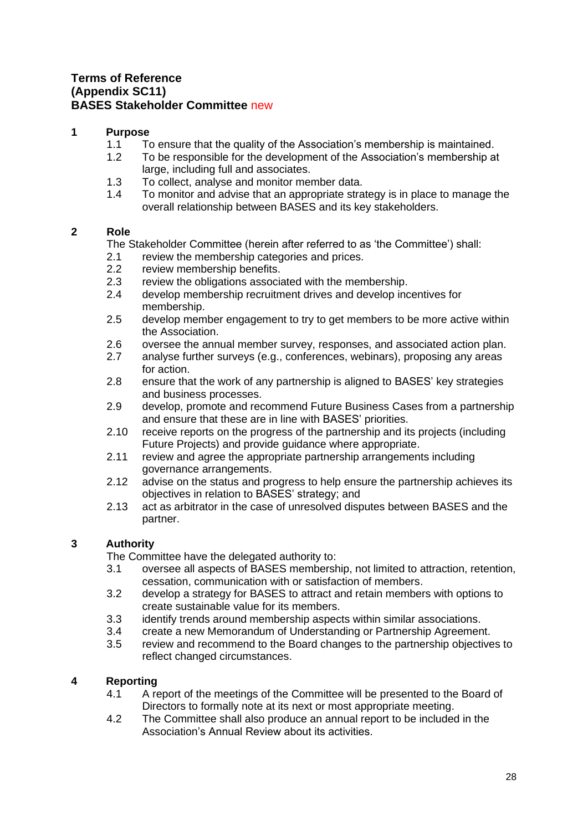## <span id="page-27-0"></span>**Terms of Reference (Appendix SC11) BASES Stakeholder Committee** new

#### **1 Purpose**

- 1.1 To ensure that the quality of the Association's membership is maintained.<br>1.2 To be responsible for the development of the Association's membership at
- To be responsible for the development of the Association's membership at large, including full and associates.
- 1.3 To collect, analyse and monitor member data.
- 1.4 To monitor and advise that an appropriate strategy is in place to manage the overall relationship between BASES and its key stakeholders.

## **2 Role**

The Stakeholder Committee (herein after referred to as 'the Committee') shall:

- 2.1 review the membership categories and prices.
- 2.2 review membership benefits.
- 2.3 review the obligations associated with the membership.
- 2.4 develop membership recruitment drives and develop incentives for membership.
- 2.5 develop member engagement to try to get members to be more active within the Association.
- 2.6 oversee the annual member survey, responses, and associated action plan.
- 2.7 analyse further surveys (e.g., conferences, webinars), proposing any areas for action.
- 2.8 ensure that the work of any partnership is aligned to BASES' key strategies and business processes.
- 2.9 develop, promote and recommend Future Business Cases from a partnership and ensure that these are in line with BASES' priorities.
- 2.10 receive reports on the progress of the partnership and its projects (including Future Projects) and provide guidance where appropriate.
- 2.11 review and agree the appropriate partnership arrangements including governance arrangements.
- 2.12 advise on the status and progress to help ensure the partnership achieves its objectives in relation to BASES' strategy; and
- 2.13 act as arbitrator in the case of unresolved disputes between BASES and the partner.

## **3 Authority**

The Committee have the delegated authority to:

- 3.1 oversee all aspects of BASES membership, not limited to attraction, retention, cessation, communication with or satisfaction of members.
- 3.2 develop a strategy for BASES to attract and retain members with options to create sustainable value for its members.
- 3.3 identify trends around membership aspects within similar associations.<br>3.4 create a new Memorandum of Understanding or Partnership Agreemen
- 3.4 create a new Memorandum of Understanding or Partnership Agreement.
- 3.5 review and recommend to the Board changes to the partnership objectives to reflect changed circumstances.

## **4 Reporting**

- 4.1 A report of the meetings of the Committee will be presented to the Board of Directors to formally note at its next or most appropriate meeting.
- 4.2 The Committee shall also produce an annual report to be included in the Association's Annual Review about its activities.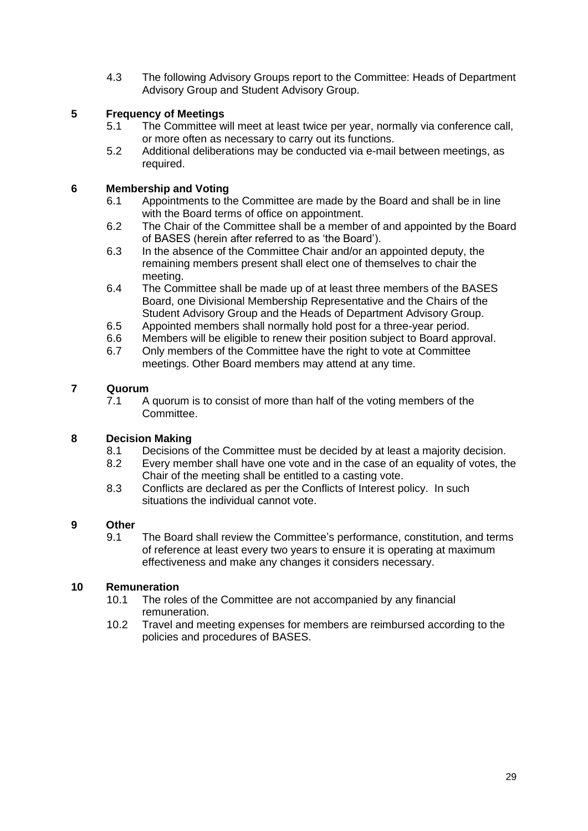4.3 The following Advisory Groups report to the Committee: Heads of Department Advisory Group and Student Advisory Group.

## **5 Frequency of Meetings**

- 5.1 The Committee will meet at least twice per year, normally via conference call, or more often as necessary to carry out its functions.
- 5.2 Additional deliberations may be conducted via e-mail between meetings, as required.

## **6 Membership and Voting**

- 6.1 Appointments to the Committee are made by the Board and shall be in line with the Board terms of office on appointment.
- 6.2 The Chair of the Committee shall be a member of and appointed by the Board of BASES (herein after referred to as 'the Board').
- 6.3 In the absence of the Committee Chair and/or an appointed deputy, the remaining members present shall elect one of themselves to chair the meeting.
- 6.4 The Committee shall be made up of at least three members of the BASES Board, one Divisional Membership Representative and the Chairs of the Student Advisory Group and the Heads of Department Advisory Group.
- 6.5 Appointed members shall normally hold post for a three-year period.
- 6.6 Members will be eligible to renew their position subject to Board approval.<br>6.7 Only members of the Committee have the right to vote at Committee
- Only members of the Committee have the right to vote at Committee meetings. Other Board members may attend at any time.

#### **7 Quorum**

7.1 A quorum is to consist of more than half of the voting members of the Committee.

#### **8 Decision Making**

- 8.1 Decisions of the Committee must be decided by at least a majority decision.
- 8.2 Every member shall have one vote and in the case of an equality of votes, the Chair of the meeting shall be entitled to a casting vote.
- 8.3 Conflicts are declared as per the Conflicts of Interest policy. In such situations the individual cannot vote.

# **9 Other**

9.1 The Board shall review the Committee's performance, constitution, and terms of reference at least every two years to ensure it is operating at maximum effectiveness and make any changes it considers necessary.

- 10.1 The roles of the Committee are not accompanied by any financial remuneration.
- 10.2 Travel and meeting expenses for members are reimbursed according to the policies and procedures of BASES.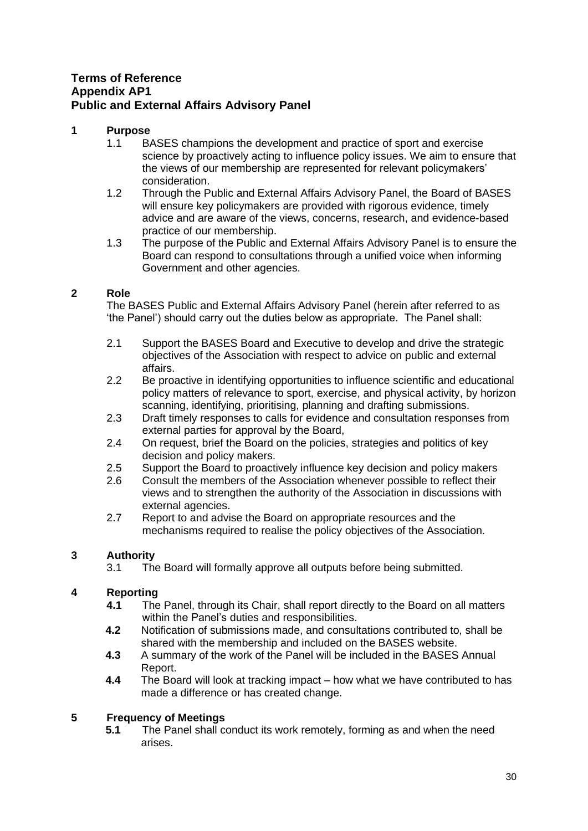# <span id="page-29-0"></span>**Terms of Reference Appendix AP1 Public and External Affairs Advisory Panel**

## **1 Purpose**

- 1.1 BASES champions the development and practice of sport and exercise science by proactively acting to influence policy issues. We aim to ensure that the views of our membership are represented for relevant policymakers' consideration.
- 1.2 Through the Public and External Affairs Advisory Panel, the Board of BASES will ensure key policymakers are provided with rigorous evidence, timely advice and are aware of the views, concerns, research, and evidence-based practice of our membership.
- 1.3 The purpose of the Public and External Affairs Advisory Panel is to ensure the Board can respond to consultations through a unified voice when informing Government and other agencies.

## **2 Role**

The BASES Public and External Affairs Advisory Panel (herein after referred to as 'the Panel') should carry out the duties below as appropriate. The Panel shall:

- 2.1 Support the BASES Board and Executive to develop and drive the strategic objectives of the Association with respect to advice on public and external affairs.
- 2.2 Be proactive in identifying opportunities to influence scientific and educational policy matters of relevance to sport, exercise, and physical activity, by horizon scanning, identifying, prioritising, planning and drafting submissions.
- 2.3 Draft timely responses to calls for evidence and consultation responses from external parties for approval by the Board,
- 2.4 On request, brief the Board on the policies, strategies and politics of key decision and policy makers.
- 2.5 Support the Board to proactively influence key decision and policy makers
- 2.6 Consult the members of the Association whenever possible to reflect their views and to strengthen the authority of the Association in discussions with external agencies.
- 2.7 Report to and advise the Board on appropriate resources and the mechanisms required to realise the policy objectives of the Association.

## **3 Authority**

3.1 The Board will formally approve all outputs before being submitted.

#### **4 Reporting**

- **4.1** The Panel, through its Chair, shall report directly to the Board on all matters within the Panel's duties and responsibilities.
- **4.2** Notification of submissions made, and consultations contributed to, shall be shared with the membership and included on the BASES website.
- **4.3** A summary of the work of the Panel will be included in the BASES Annual Report.
- **4.4** The Board will look at tracking impact how what we have contributed to has made a difference or has created change.

## **5 Frequency of Meetings**

**5.1** The Panel shall conduct its work remotely, forming as and when the need arises.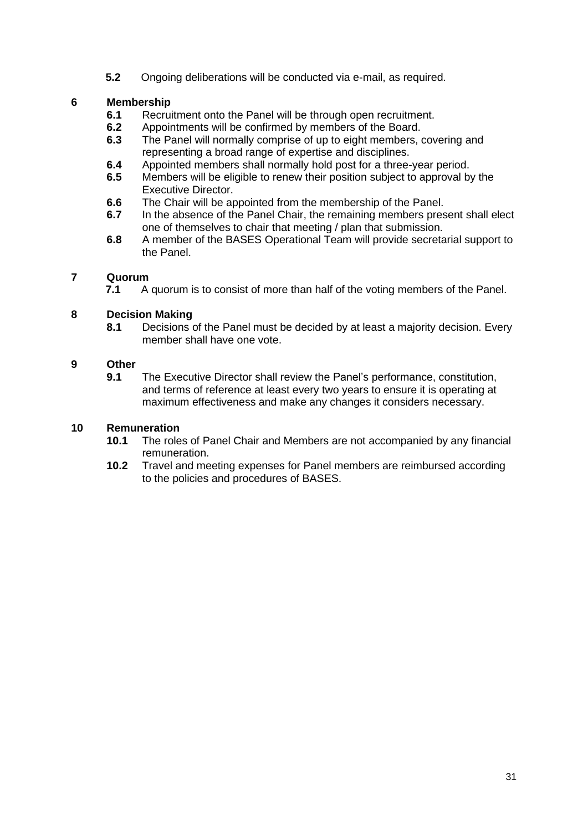**5.2** Ongoing deliberations will be conducted via e-mail, as required.

## **6 Membership**

- **6.1** Recruitment onto the Panel will be through open recruitment.<br>**6.2** Appointments will be confirmed by members of the Board
- **6.2** Appointments will be confirmed by members of the Board.<br>**6.3** The Panel will normally comprise of up to eight members.
- **6.3** The Panel will normally comprise of up to eight members, covering and representing a broad range of expertise and disciplines.
- **6.4** Appointed members shall normally hold post for a three-year period.
- **6.5** Members will be eligible to renew their position subject to approval by the Executive Director.
- **6.6** The Chair will be appointed from the membership of the Panel.
- **6.7** In the absence of the Panel Chair, the remaining members present shall elect one of themselves to chair that meeting / plan that submission.
- **6.8** A member of the BASES Operational Team will provide secretarial support to the Panel.

# **7 Quorum**

**7.1** A quorum is to consist of more than half of the voting members of the Panel.

# **8 Decision Making**

**8.1** Decisions of the Panel must be decided by at least a majority decision. Every member shall have one vote.

# **9 Other**

**9.1** The Executive Director shall review the Panel's performance, constitution, and terms of reference at least every two years to ensure it is operating at maximum effectiveness and make any changes it considers necessary.

- **10.1** The roles of Panel Chair and Members are not accompanied by any financial remuneration.
- **10.2** Travel and meeting expenses for Panel members are reimbursed according to the policies and procedures of BASES.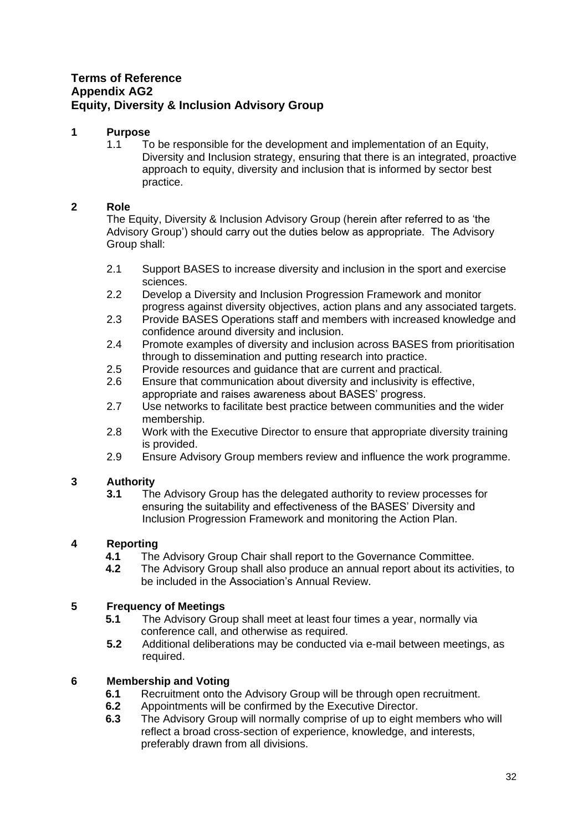# <span id="page-31-0"></span>**Terms of Reference Appendix AG2 Equity, Diversity & Inclusion Advisory Group**

## **1 Purpose**

1.1 To be responsible for the development and implementation of an Equity, Diversity and Inclusion strategy, ensuring that there is an integrated, proactive approach to equity, diversity and inclusion that is informed by sector best practice.

## **2 Role**

The Equity, Diversity & Inclusion Advisory Group (herein after referred to as 'the Advisory Group') should carry out the duties below as appropriate. The Advisory Group shall:

- 2.1 Support BASES to increase diversity and inclusion in the sport and exercise sciences.
- 2.2 Develop a Diversity and Inclusion Progression Framework and monitor progress against diversity objectives, action plans and any associated targets.
- 2.3 Provide BASES Operations staff and members with increased knowledge and confidence around diversity and inclusion.
- 2.4 Promote examples of diversity and inclusion across BASES from prioritisation through to dissemination and putting research into practice.
- 2.5 Provide resources and guidance that are current and practical.
- 2.6 Ensure that communication about diversity and inclusivity is effective, appropriate and raises awareness about BASES' progress.
- 2.7 Use networks to facilitate best practice between communities and the wider membership.
- 2.8 Work with the Executive Director to ensure that appropriate diversity training is provided.
- 2.9 Ensure Advisory Group members review and influence the work programme.

## **3 Authority**

**3.1** The Advisory Group has the delegated authority to review processes for ensuring the suitability and effectiveness of the BASES' Diversity and Inclusion Progression Framework and monitoring the Action Plan.

# **4 Reporting**

- **4.1** The Advisory Group Chair shall report to the Governance Committee.
- **4.2** The Advisory Group shall also produce an annual report about its activities, to be included in the Association's Annual Review.

#### **5 Frequency of Meetings**

- **5.1** The Advisory Group shall meet at least four times a year, normally via conference call, and otherwise as required.
- **5.2** Additional deliberations may be conducted via e-mail between meetings, as required.

- **6.1** Recruitment onto the Advisory Group will be through open recruitment.
- **6.2** Appointments will be confirmed by the Executive Director.
- **6.3** The Advisory Group will normally comprise of up to eight members who will reflect a broad cross-section of experience, knowledge, and interests, preferably drawn from all divisions.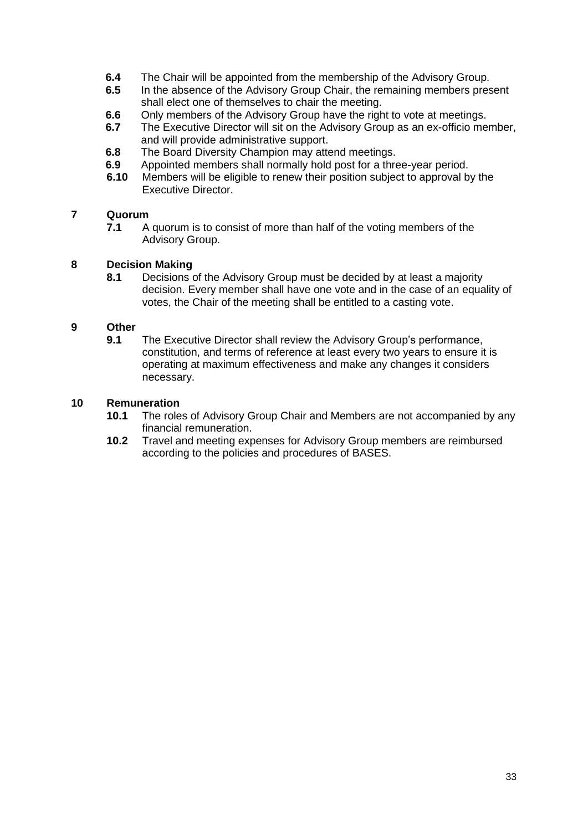- **6.4** The Chair will be appointed from the membership of the Advisory Group.
- **6.5** In the absence of the Advisory Group Chair, the remaining members present shall elect one of themselves to chair the meeting.
- **6.6** Only members of the Advisory Group have the right to vote at meetings.
- **6.7** The Executive Director will sit on the Advisory Group as an ex-officio member, and will provide administrative support.
- **6.8** The Board Diversity Champion may attend meetings.
- **6.9** Appointed members shall normally hold post for a three-year period.
- **6.10** Members will be eligible to renew their position subject to approval by the Executive Director.

**7.1** A quorum is to consist of more than half of the voting members of the Advisory Group.

#### **8 Decision Making**

**8.1** Decisions of the Advisory Group must be decided by at least a majority decision. Every member shall have one vote and in the case of an equality of votes, the Chair of the meeting shall be entitled to a casting vote.

#### **9 Other**

**9.1** The Executive Director shall review the Advisory Group's performance, constitution, and terms of reference at least every two years to ensure it is operating at maximum effectiveness and make any changes it considers necessary.

- **10.1** The roles of Advisory Group Chair and Members are not accompanied by any financial remuneration.
- **10.2** Travel and meeting expenses for Advisory Group members are reimbursed according to the policies and procedures of BASES.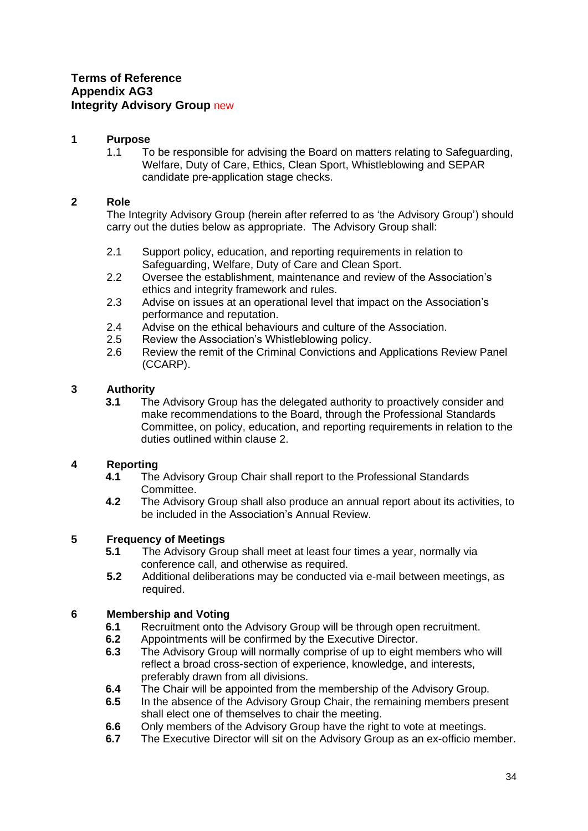#### <span id="page-33-0"></span>**1 Purpose**

1.1 To be responsible for advising the Board on matters relating to Safeguarding, Welfare, Duty of Care, Ethics, Clean Sport, Whistleblowing and SEPAR candidate pre-application stage checks.

## **2 Role**

The Integrity Advisory Group (herein after referred to as 'the Advisory Group') should carry out the duties below as appropriate. The Advisory Group shall:

- 2.1 Support policy, education, and reporting requirements in relation to Safeguarding, Welfare, Duty of Care and Clean Sport.
- 2.2 Oversee the establishment, maintenance and review of the Association's ethics and integrity framework and rules.
- 2.3 Advise on issues at an operational level that impact on the Association's performance and reputation.
- 2.4 Advise on the ethical behaviours and culture of the Association.
- 2.5 Review the Association's Whistleblowing policy.
- 2.6 Review the remit of the Criminal Convictions and Applications Review Panel (CCARP).

#### **3 Authority**

**3.1** The Advisory Group has the delegated authority to proactively consider and make recommendations to the Board, through the Professional Standards Committee, on policy, education, and reporting requirements in relation to the duties outlined within clause 2.

#### **4 Reporting**

- **4.1** The Advisory Group Chair shall report to the Professional Standards Committee.
- **4.2** The Advisory Group shall also produce an annual report about its activities, to be included in the Association's Annual Review.

## **5 Frequency of Meetings**

- **5.1** The Advisory Group shall meet at least four times a year, normally via conference call, and otherwise as required.
- **5.2** Additional deliberations may be conducted via e-mail between meetings, as required.

- **6.1** Recruitment onto the Advisory Group will be through open recruitment.
- **6.2** Appointments will be confirmed by the Executive Director.
- **6.3** The Advisory Group will normally comprise of up to eight members who will reflect a broad cross-section of experience, knowledge, and interests, preferably drawn from all divisions.
- **6.4** The Chair will be appointed from the membership of the Advisory Group.
- **6.5** In the absence of the Advisory Group Chair, the remaining members present shall elect one of themselves to chair the meeting.
- **6.6** Only members of the Advisory Group have the right to vote at meetings.
- **6.7** The Executive Director will sit on the Advisory Group as an ex-officio member.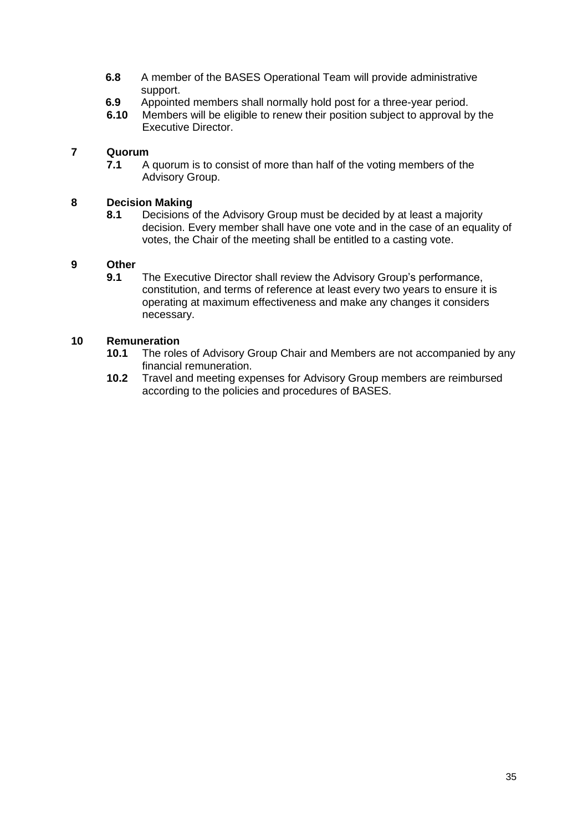- **6.8** A member of the BASES Operational Team will provide administrative support.
- **6.9** Appointed members shall normally hold post for a three-year period.<br>**6.10** Members will be eligible to renew their position subject to approval by
- **6.10** Members will be eligible to renew their position subject to approval by the Executive Director.

**7.1** A quorum is to consist of more than half of the voting members of the Advisory Group.

#### **8 Decision Making**

**8.1** Decisions of the Advisory Group must be decided by at least a majority decision. Every member shall have one vote and in the case of an equality of votes, the Chair of the meeting shall be entitled to a casting vote.

#### **9 Other**

**9.1** The Executive Director shall review the Advisory Group's performance, constitution, and terms of reference at least every two years to ensure it is operating at maximum effectiveness and make any changes it considers necessary.

- **10.1** The roles of Advisory Group Chair and Members are not accompanied by any financial remuneration.
- **10.2** Travel and meeting expenses for Advisory Group members are reimbursed according to the policies and procedures of BASES.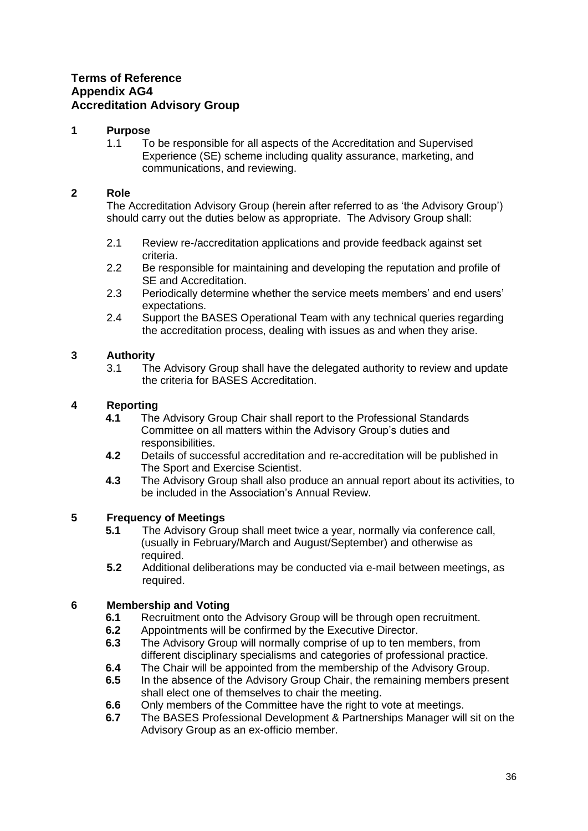## <span id="page-35-0"></span>**Terms of Reference Appendix AG4 Accreditation Advisory Group**

#### **1 Purpose**

1.1 To be responsible for all aspects of the Accreditation and Supervised Experience (SE) scheme including quality assurance, marketing, and communications, and reviewing.

## **2 Role**

The Accreditation Advisory Group (herein after referred to as 'the Advisory Group') should carry out the duties below as appropriate. The Advisory Group shall:

- 2.1 Review re-/accreditation applications and provide feedback against set criteria.
- 2.2 Be responsible for maintaining and developing the reputation and profile of SE and Accreditation.
- 2.3 Periodically determine whether the service meets members' and end users' expectations.
- 2.4 Support the BASES Operational Team with any technical queries regarding the accreditation process, dealing with issues as and when they arise.

#### **3 Authority**

3.1 The Advisory Group shall have the delegated authority to review and update the criteria for BASES Accreditation.

## **4 Reporting**

- **4.1** The Advisory Group Chair shall report to the Professional Standards Committee on all matters within the Advisory Group's duties and responsibilities.
- **4.2** Details of successful accreditation and re-accreditation will be published in The Sport and Exercise Scientist.
- **4.3** The Advisory Group shall also produce an annual report about its activities, to be included in the Association's Annual Review.

## **5 Frequency of Meetings**

- **5.1** The Advisory Group shall meet twice a year, normally via conference call, (usually in February/March and August/September) and otherwise as required.
- **5.2** Additional deliberations may be conducted via e-mail between meetings, as required.

- **6.1** Recruitment onto the Advisory Group will be through open recruitment.
- **6.2** Appointments will be confirmed by the Executive Director.
- **6.3** The Advisory Group will normally comprise of up to ten members, from different disciplinary specialisms and categories of professional practice.
- **6.4** The Chair will be appointed from the membership of the Advisory Group.
- **6.5** In the absence of the Advisory Group Chair, the remaining members present shall elect one of themselves to chair the meeting.
- **6.6** Only members of the Committee have the right to vote at meetings.
- **6.7** The BASES Professional Development & Partnerships Manager will sit on the Advisory Group as an ex-officio member.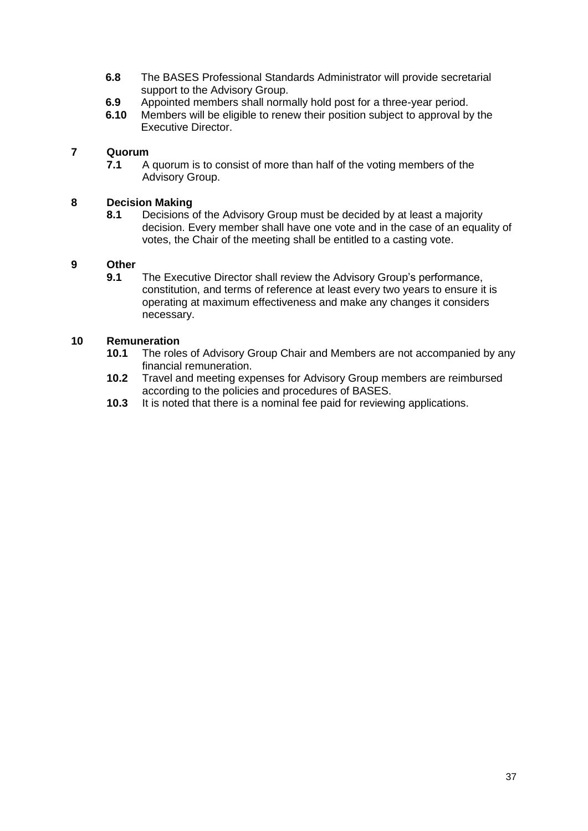- **6.8** The BASES Professional Standards Administrator will provide secretarial support to the Advisory Group.
- **6.9** Appointed members shall normally hold post for a three-year period.<br>**6.10** Members will be eligible to renew their position subject to approval by
- **6.10** Members will be eligible to renew their position subject to approval by the Executive Director.

**7.1** A quorum is to consist of more than half of the voting members of the Advisory Group.

#### **8 Decision Making**

**8.1** Decisions of the Advisory Group must be decided by at least a majority decision. Every member shall have one vote and in the case of an equality of votes, the Chair of the meeting shall be entitled to a casting vote.

#### **9 Other**

**9.1** The Executive Director shall review the Advisory Group's performance, constitution, and terms of reference at least every two years to ensure it is operating at maximum effectiveness and make any changes it considers necessary.

- **10.1** The roles of Advisory Group Chair and Members are not accompanied by any financial remuneration.
- **10.2** Travel and meeting expenses for Advisory Group members are reimbursed according to the policies and procedures of BASES.
- **10.3** It is noted that there is a nominal fee paid for reviewing applications.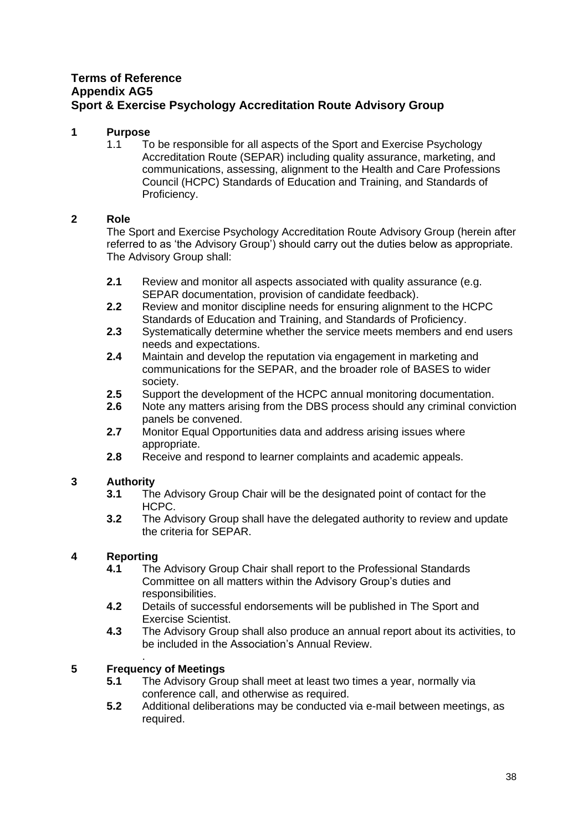## <span id="page-37-0"></span>**Terms of Reference Appendix AG5 Sport & Exercise Psychology Accreditation Route Advisory Group**

## **1 Purpose**

1.1 To be responsible for all aspects of the Sport and Exercise Psychology Accreditation Route (SEPAR) including quality assurance, marketing, and communications, assessing, alignment to the Health and Care Professions Council (HCPC) Standards of Education and Training, and Standards of Proficiency.

## **2 Role**

The Sport and Exercise Psychology Accreditation Route Advisory Group (herein after referred to as 'the Advisory Group') should carry out the duties below as appropriate. The Advisory Group shall:

- **2.1** Review and monitor all aspects associated with quality assurance (e.g. SEPAR documentation, provision of candidate feedback).
- **2.2** Review and monitor discipline needs for ensuring alignment to the HCPC Standards of Education and Training, and Standards of Proficiency.
- **2.3** Systematically determine whether the service meets members and end users needs and expectations.
- **2.4** Maintain and develop the reputation via engagement in marketing and communications for the SEPAR, and the broader role of BASES to wider society.
- **2.5** Support the development of the HCPC annual monitoring documentation.
- **2.6** Note any matters arising from the DBS process should any criminal conviction panels be convened.
- **2.7** Monitor Equal Opportunities data and address arising issues where appropriate.
- **2.8** Receive and respond to learner complaints and academic appeals.

## **3 Authority**

- **3.1** The Advisory Group Chair will be the designated point of contact for the HCPC.
- **3.2** The Advisory Group shall have the delegated authority to review and update the criteria for SEPAR.

## **4 Reporting**

- **4.1** The Advisory Group Chair shall report to the Professional Standards Committee on all matters within the Advisory Group's duties and responsibilities.
- **4.2** Details of successful endorsements will be published in The Sport and Exercise Scientist.
- **4.3** The Advisory Group shall also produce an annual report about its activities, to be included in the Association's Annual Review.

#### . **5 Frequency of Meetings**

- **5.1** The Advisory Group shall meet at least two times a year, normally via conference call, and otherwise as required.
- **5.2** Additional deliberations may be conducted via e-mail between meetings, as required.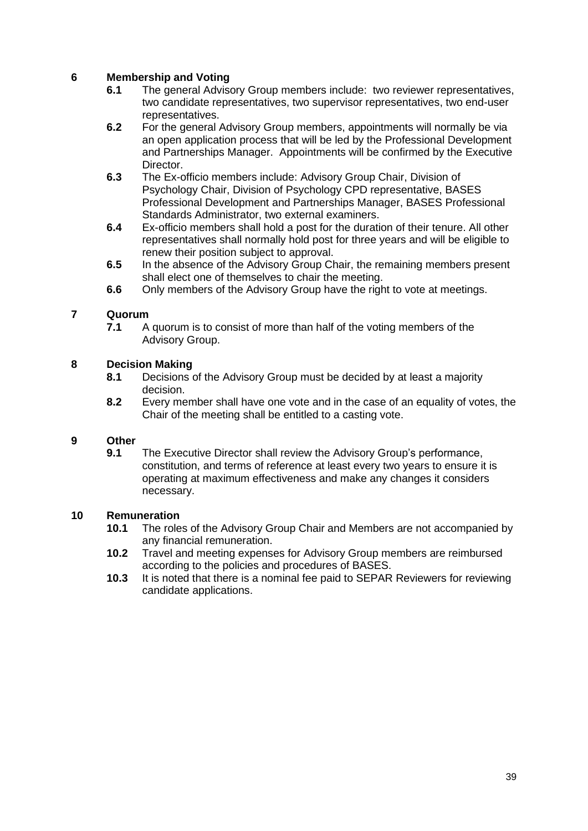#### **6 Membership and Voting**

- **6.1** The general Advisory Group members include: two reviewer representatives, two candidate representatives, two supervisor representatives, two end-user representatives.
- **6.2** For the general Advisory Group members, appointments will normally be via an open application process that will be led by the Professional Development and Partnerships Manager. Appointments will be confirmed by the Executive Director.
- **6.3** The Ex-officio members include: Advisory Group Chair, Division of Psychology Chair, Division of Psychology CPD representative, BASES Professional Development and Partnerships Manager, BASES Professional Standards Administrator, two external examiners.
- **6.4** Ex-officio members shall hold a post for the duration of their tenure. All other representatives shall normally hold post for three years and will be eligible to renew their position subject to approval.
- **6.5** In the absence of the Advisory Group Chair, the remaining members present shall elect one of themselves to chair the meeting.
- **6.6** Only members of the Advisory Group have the right to vote at meetings.

## **7 Quorum**

**7.1** A quorum is to consist of more than half of the voting members of the Advisory Group.

#### **8 Decision Making**

- **8.1** Decisions of the Advisory Group must be decided by at least a majority decision.
- **8.2** Every member shall have one vote and in the case of an equality of votes, the Chair of the meeting shall be entitled to a casting vote.

#### **9 Other**

**9.1** The Executive Director shall review the Advisory Group's performance, constitution, and terms of reference at least every two years to ensure it is operating at maximum effectiveness and make any changes it considers necessary.

- **10.1** The roles of the Advisory Group Chair and Members are not accompanied by any financial remuneration.
- **10.2** Travel and meeting expenses for Advisory Group members are reimbursed according to the policies and procedures of BASES.
- **10.3** It is noted that there is a nominal fee paid to SEPAR Reviewers for reviewing candidate applications.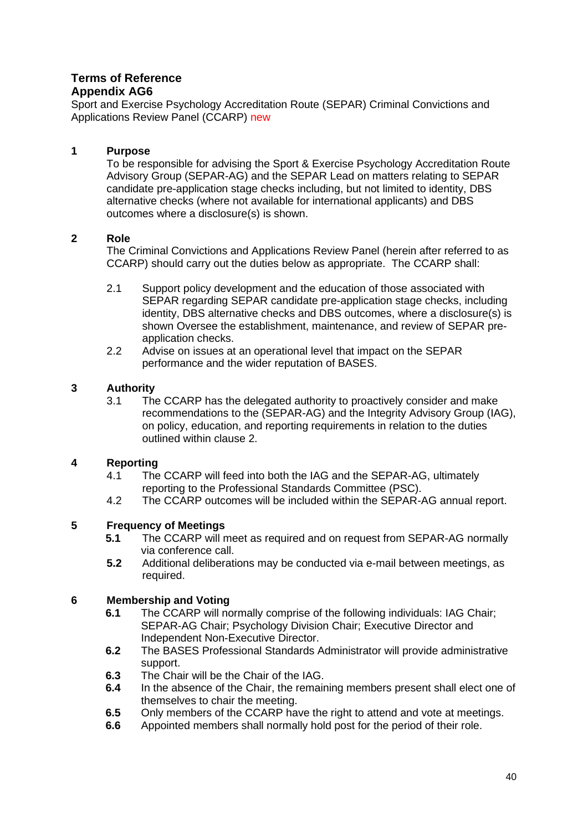## <span id="page-39-0"></span>**Terms of Reference Appendix AG6**

Sport and Exercise Psychology Accreditation Route (SEPAR) Criminal Convictions and Applications Review Panel (CCARP) new

## **1 Purpose**

To be responsible for advising the Sport & Exercise Psychology Accreditation Route Advisory Group (SEPAR-AG) and the SEPAR Lead on matters relating to SEPAR candidate pre-application stage checks including, but not limited to identity, DBS alternative checks (where not available for international applicants) and DBS outcomes where a disclosure(s) is shown.

#### **2 Role**

The Criminal Convictions and Applications Review Panel (herein after referred to as CCARP) should carry out the duties below as appropriate. The CCARP shall:

- 2.1 Support policy development and the education of those associated with SEPAR regarding SEPAR candidate pre-application stage checks, including identity, DBS alternative checks and DBS outcomes, where a disclosure(s) is shown Oversee the establishment, maintenance, and review of SEPAR preapplication checks.
- 2.2 Advise on issues at an operational level that impact on the SEPAR performance and the wider reputation of BASES.

## **3 Authority**

3.1 The CCARP has the delegated authority to proactively consider and make recommendations to the (SEPAR-AG) and the Integrity Advisory Group (IAG), on policy, education, and reporting requirements in relation to the duties outlined within clause 2.

#### **4 Reporting**

- 4.1 The CCARP will feed into both the IAG and the SEPAR-AG, ultimately reporting to the Professional Standards Committee (PSC).
- 4.2 The CCARP outcomes will be included within the SEPAR-AG annual report.

## **5 Frequency of Meetings**

- **5.1** The CCARP will meet as required and on request from SEPAR-AG normally via conference call.
- **5.2** Additional deliberations may be conducted via e-mail between meetings, as required.

- **6.1** The CCARP will normally comprise of the following individuals: IAG Chair; SEPAR-AG Chair; Psychology Division Chair; Executive Director and Independent Non-Executive Director.
- **6.2** The BASES Professional Standards Administrator will provide administrative support.
- **6.3** The Chair will be the Chair of the IAG.
- **6.4** In the absence of the Chair, the remaining members present shall elect one of themselves to chair the meeting.
- **6.5** Only members of the CCARP have the right to attend and vote at meetings.
- **6.6** Appointed members shall normally hold post for the period of their role.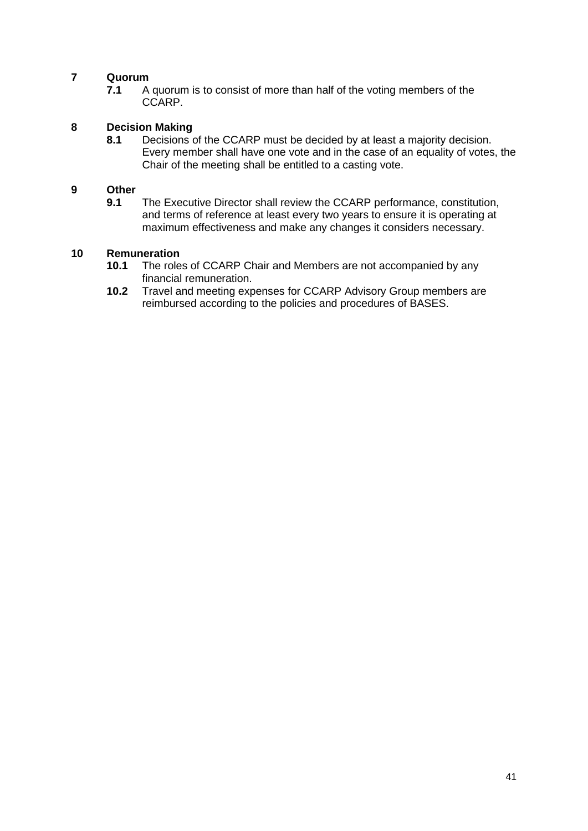**7.1** A quorum is to consist of more than half of the voting members of the CCARP.

## **8 Decision Making**

**8.1** Decisions of the CCARP must be decided by at least a majority decision. Every member shall have one vote and in the case of an equality of votes, the Chair of the meeting shall be entitled to a casting vote.

## **9 Other**

**9.1** The Executive Director shall review the CCARP performance, constitution, and terms of reference at least every two years to ensure it is operating at maximum effectiveness and make any changes it considers necessary.

- **10.1** The roles of CCARP Chair and Members are not accompanied by any financial remuneration.
- **10.2** Travel and meeting expenses for CCARP Advisory Group members are reimbursed according to the policies and procedures of BASES.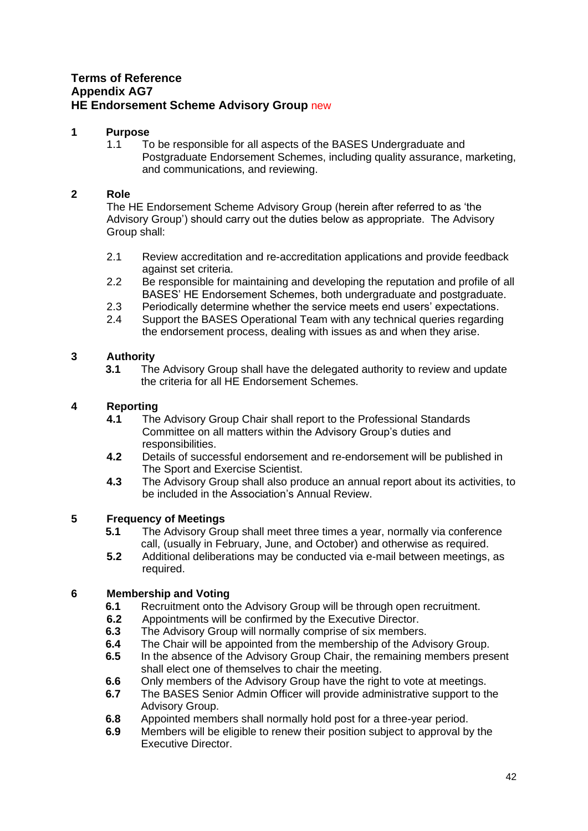# <span id="page-41-0"></span>**Terms of Reference Appendix AG7 HE Endorsement Scheme Advisory Group** new

#### **1 Purpose**

1.1 To be responsible for all aspects of the BASES Undergraduate and Postgraduate Endorsement Schemes, including quality assurance, marketing, and communications, and reviewing.

#### **2 Role**

The HE Endorsement Scheme Advisory Group (herein after referred to as 'the Advisory Group') should carry out the duties below as appropriate. The Advisory Group shall:

- 2.1 Review accreditation and re-accreditation applications and provide feedback against set criteria.
- 2.2 Be responsible for maintaining and developing the reputation and profile of all BASES' HE Endorsement Schemes, both undergraduate and postgraduate.
- 2.3 Periodically determine whether the service meets end users' expectations.
- 2.4 Support the BASES Operational Team with any technical queries regarding the endorsement process, dealing with issues as and when they arise.

## **3 Authority**

**3.1** The Advisory Group shall have the delegated authority to review and update the criteria for all HE Endorsement Schemes.

## **4 Reporting**

- **4.1** The Advisory Group Chair shall report to the Professional Standards Committee on all matters within the Advisory Group's duties and responsibilities.
- **4.2** Details of successful endorsement and re-endorsement will be published in The Sport and Exercise Scientist.
- **4.3** The Advisory Group shall also produce an annual report about its activities, to be included in the Association's Annual Review.

#### **5 Frequency of Meetings**

- **5.1** The Advisory Group shall meet three times a year, normally via conference call, (usually in February, June, and October) and otherwise as required.
- **5.2** Additional deliberations may be conducted via e-mail between meetings, as required.

- **6.1** Recruitment onto the Advisory Group will be through open recruitment.
- **6.2** Appointments will be confirmed by the Executive Director.<br>**6.3** The Advisory Group will normally comprise of six members
- **6.3** The Advisory Group will normally comprise of six members.
- **6.4** The Chair will be appointed from the membership of the Advisory Group.<br>**6.5** In the absence of the Advisory Group Chair, the remaining members presented
- **6.5** In the absence of the Advisory Group Chair, the remaining members present shall elect one of themselves to chair the meeting.
- **6.6** Only members of the Advisory Group have the right to vote at meetings.
- **6.7** The BASES Senior Admin Officer will provide administrative support to the Advisory Group.
- **6.8** Appointed members shall normally hold post for a three-year period.
- **6.9** Members will be eligible to renew their position subject to approval by the Executive Director.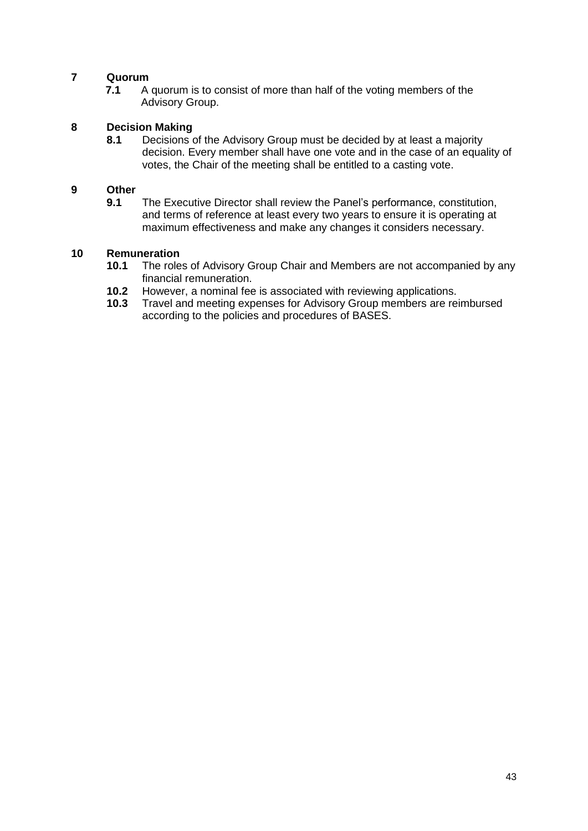**7.1** A quorum is to consist of more than half of the voting members of the Advisory Group.

# **8 Decision Making**

**8.1** Decisions of the Advisory Group must be decided by at least a majority decision. Every member shall have one vote and in the case of an equality of votes, the Chair of the meeting shall be entitled to a casting vote.

## **9 Other**

**9.1** The Executive Director shall review the Panel's performance, constitution, and terms of reference at least every two years to ensure it is operating at maximum effectiveness and make any changes it considers necessary.

- **10.1** The roles of Advisory Group Chair and Members are not accompanied by any financial remuneration.
- **10.2** However, a nominal fee is associated with reviewing applications.<br>**10.3** Travel and meeting expenses for Advisory Group members are re
- **10.3** Travel and meeting expenses for Advisory Group members are reimbursed according to the policies and procedures of BASES.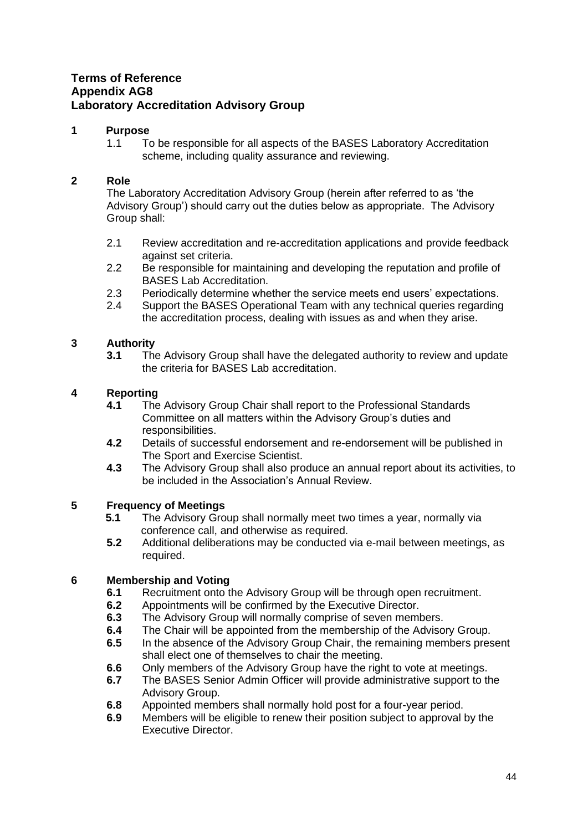# <span id="page-43-0"></span>**Terms of Reference Appendix AG8 Laboratory Accreditation Advisory Group**

## **1 Purpose**

1.1 To be responsible for all aspects of the BASES Laboratory Accreditation scheme, including quality assurance and reviewing.

## **2 Role**

The Laboratory Accreditation Advisory Group (herein after referred to as 'the Advisory Group') should carry out the duties below as appropriate. The Advisory Group shall:

- 2.1 Review accreditation and re-accreditation applications and provide feedback against set criteria.
- 2.2 Be responsible for maintaining and developing the reputation and profile of BASES Lab Accreditation.
- 2.3 Periodically determine whether the service meets end users' expectations.
- 2.4 Support the BASES Operational Team with any technical queries regarding the accreditation process, dealing with issues as and when they arise.

## **3 Authority**

**3.1** The Advisory Group shall have the delegated authority to review and update the criteria for BASES Lab accreditation.

## **4 Reporting**

- **4.1** The Advisory Group Chair shall report to the Professional Standards Committee on all matters within the Advisory Group's duties and responsibilities.
- **4.2** Details of successful endorsement and re-endorsement will be published in The Sport and Exercise Scientist.
- **4.3** The Advisory Group shall also produce an annual report about its activities, to be included in the Association's Annual Review.

## **5 Frequency of Meetings**

- **5.1** The Advisory Group shall normally meet two times a year, normally via conference call, and otherwise as required.
- **5.2** Additional deliberations may be conducted via e-mail between meetings, as required.

- **6.1** Recruitment onto the Advisory Group will be through open recruitment.
- **6.2** Appointments will be confirmed by the Executive Director.
- **6.3** The Advisory Group will normally comprise of seven members.
- **6.4** The Chair will be appointed from the membership of the Advisory Group.
- **6.5** In the absence of the Advisory Group Chair, the remaining members present shall elect one of themselves to chair the meeting.
- **6.6** Only members of the Advisory Group have the right to vote at meetings.
- **6.7** The BASES Senior Admin Officer will provide administrative support to the Advisory Group.
- **6.8** Appointed members shall normally hold post for a four-year period.
- **6.9** Members will be eligible to renew their position subject to approval by the Executive Director.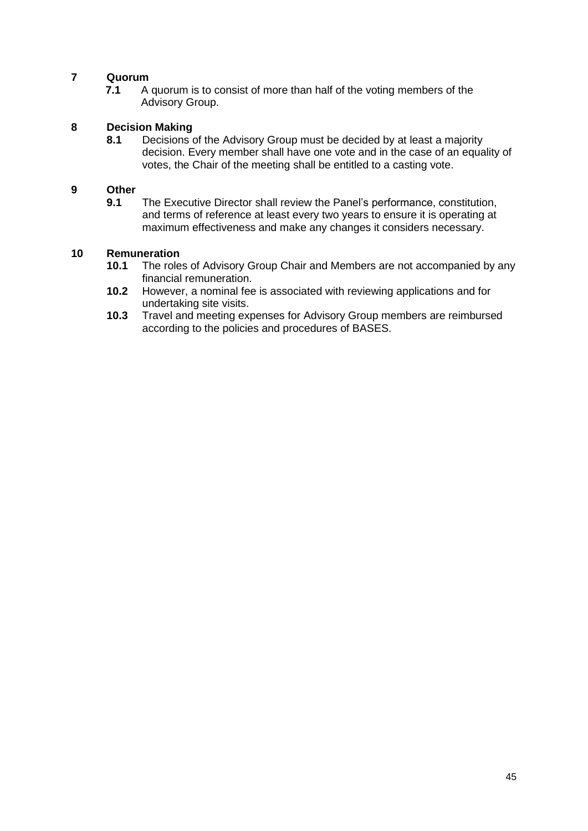**7.1** A quorum is to consist of more than half of the voting members of the Advisory Group.

# **8 Decision Making**

**8.1** Decisions of the Advisory Group must be decided by at least a majority decision. Every member shall have one vote and in the case of an equality of votes, the Chair of the meeting shall be entitled to a casting vote.

## **9 Other**

**9.1** The Executive Director shall review the Panel's performance, constitution, and terms of reference at least every two years to ensure it is operating at maximum effectiveness and make any changes it considers necessary.

- **10.1** The roles of Advisory Group Chair and Members are not accompanied by any financial remuneration.
- **10.2** However, a nominal fee is associated with reviewing applications and for undertaking site visits.
- **10.3** Travel and meeting expenses for Advisory Group members are reimbursed according to the policies and procedures of BASES.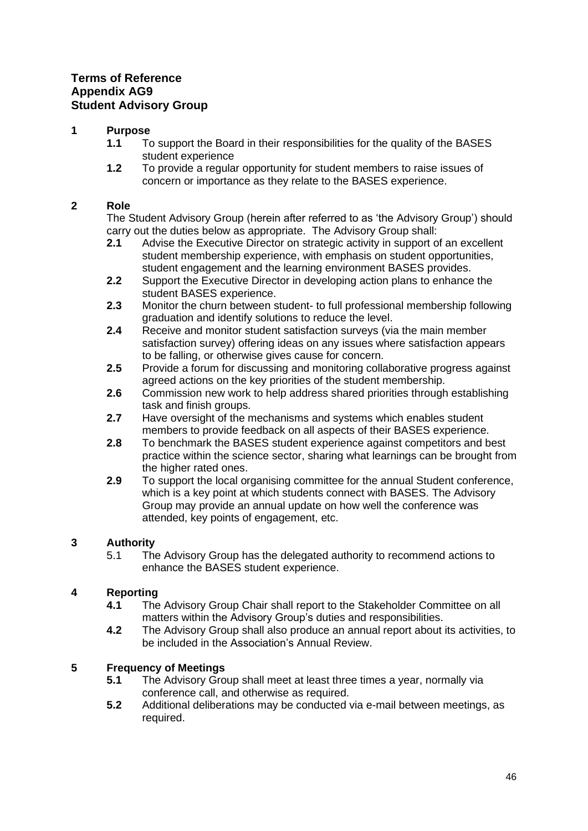## <span id="page-45-0"></span>**Terms of Reference Appendix AG9 Student Advisory Group**

## **1 Purpose**

- **1.1** To support the Board in their responsibilities for the quality of the BASES student experience
- **1.2** To provide a regular opportunity for student members to raise issues of concern or importance as they relate to the BASES experience.

## **2 Role**

The Student Advisory Group (herein after referred to as 'the Advisory Group') should carry out the duties below as appropriate. The Advisory Group shall:

- **2.1** Advise the Executive Director on strategic activity in support of an excellent student membership experience, with emphasis on student opportunities, student engagement and the learning environment BASES provides.
- **2.2** Support the Executive Director in developing action plans to enhance the student BASES experience.
- **2.3** Monitor the churn between student- to full professional membership following graduation and identify solutions to reduce the level.
- **2.4** Receive and monitor student satisfaction surveys (via the main member satisfaction survey) offering ideas on any issues where satisfaction appears to be falling, or otherwise gives cause for concern.
- **2.5** Provide a forum for discussing and monitoring collaborative progress against agreed actions on the key priorities of the student membership.
- **2.6** Commission new work to help address shared priorities through establishing task and finish groups.
- **2.7** Have oversight of the mechanisms and systems which enables student members to provide feedback on all aspects of their BASES experience.
- **2.8** To benchmark the BASES student experience against competitors and best practice within the science sector, sharing what learnings can be brought from the higher rated ones.
- **2.9** To support the local organising committee for the annual Student conference, which is a key point at which students connect with BASES. The Advisory Group may provide an annual update on how well the conference was attended, key points of engagement, etc.

## **3 Authority**

5.1 The Advisory Group has the delegated authority to recommend actions to enhance the BASES student experience.

## **4 Reporting**

- **4.1** The Advisory Group Chair shall report to the Stakeholder Committee on all matters within the Advisory Group's duties and responsibilities.
- **4.2** The Advisory Group shall also produce an annual report about its activities, to be included in the Association's Annual Review.

## **5 Frequency of Meetings**

- **5.1** The Advisory Group shall meet at least three times a year, normally via conference call, and otherwise as required.
- **5.2** Additional deliberations may be conducted via e-mail between meetings, as required.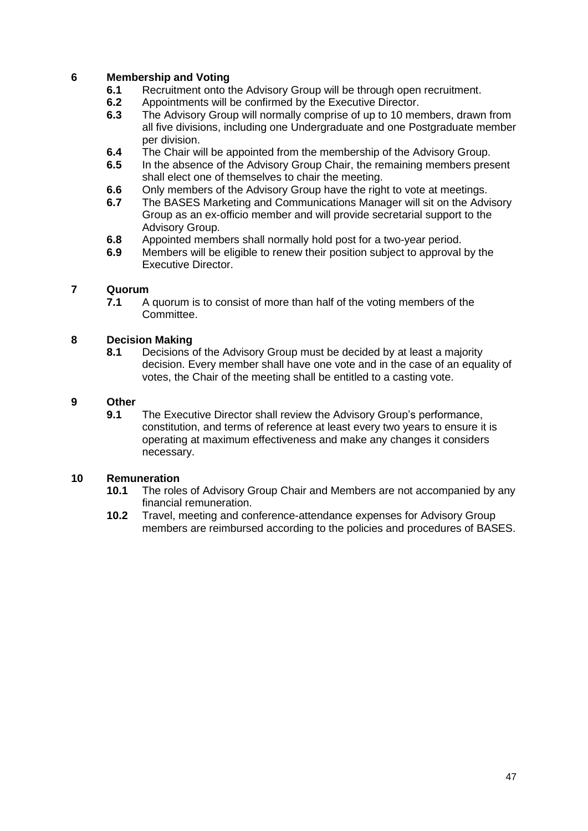## **6 Membership and Voting**

- **6.1** Recruitment onto the Advisory Group will be through open recruitment.
- **6.2** Appointments will be confirmed by the Executive Director.
- **6.3** The Advisory Group will normally comprise of up to 10 members, drawn from all five divisions, including one Undergraduate and one Postgraduate member per division.
- **6.4** The Chair will be appointed from the membership of the Advisory Group.
- **6.5** In the absence of the Advisory Group Chair, the remaining members present shall elect one of themselves to chair the meeting.
- **6.6** Only members of the Advisory Group have the right to vote at meetings.
- **6.7** The BASES Marketing and Communications Manager will sit on the Advisory Group as an ex-officio member and will provide secretarial support to the Advisory Group.
- **6.8** Appointed members shall normally hold post for a two-year period.
- **6.9** Members will be eligible to renew their position subject to approval by the Executive Director.

#### **7 Quorum**

**7.1** A quorum is to consist of more than half of the voting members of the Committee.

#### **8 Decision Making**

**8.1** Decisions of the Advisory Group must be decided by at least a majority decision. Every member shall have one vote and in the case of an equality of votes, the Chair of the meeting shall be entitled to a casting vote.

#### **9 Other**

**9.1** The Executive Director shall review the Advisory Group's performance, constitution, and terms of reference at least every two years to ensure it is operating at maximum effectiveness and make any changes it considers necessary.

- **10.1** The roles of Advisory Group Chair and Members are not accompanied by any financial remuneration.
- **10.2** Travel, meeting and conference-attendance expenses for Advisory Group members are reimbursed according to the policies and procedures of BASES.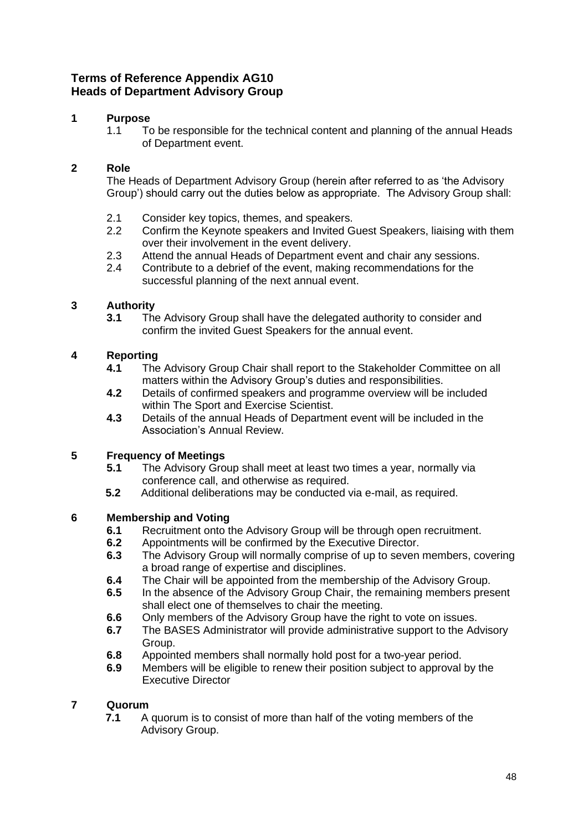# **Terms of Reference Appendix AG10 Heads of Department Advisory Group**

# **1 Purpose**

<span id="page-47-0"></span>1.1 To be responsible for the technical content and planning of the annual Heads of Department event.

## **2 Role**

The Heads of Department Advisory Group (herein after referred to as 'the Advisory Group') should carry out the duties below as appropriate. The Advisory Group shall:

- 2.1 Consider key topics, themes, and speakers.
- 2.2 Confirm the Keynote speakers and Invited Guest Speakers, liaising with them over their involvement in the event delivery.
- 2.3 Attend the annual Heads of Department event and chair any sessions.
- 2.4 Contribute to a debrief of the event, making recommendations for the successful planning of the next annual event.

## **3 Authority**

**3.1** The Advisory Group shall have the delegated authority to consider and confirm the invited Guest Speakers for the annual event.

## **4 Reporting**

- **4.1** The Advisory Group Chair shall report to the Stakeholder Committee on all matters within the Advisory Group's duties and responsibilities.
- **4.2** Details of confirmed speakers and programme overview will be included within The Sport and Exercise Scientist.
- **4.3** Details of the annual Heads of Department event will be included in the Association's Annual Review.

#### **5 Frequency of Meetings**

- **5.1** The Advisory Group shall meet at least two times a year, normally via conference call, and otherwise as required.
- **5.2** Additional deliberations may be conducted via e-mail, as required.

## **6 Membership and Voting**

- **6.1** Recruitment onto the Advisory Group will be through open recruitment.
- **6.2** Appointments will be confirmed by the Executive Director.
- **6.3** The Advisory Group will normally comprise of up to seven members, covering a broad range of expertise and disciplines.
- **6.4** The Chair will be appointed from the membership of the Advisory Group.
- **6.5** In the absence of the Advisory Group Chair, the remaining members present shall elect one of themselves to chair the meeting.
- **6.6** Only members of the Advisory Group have the right to vote on issues.
- **6.7** The BASES Administrator will provide administrative support to the Advisory Group.
- **6.8** Appointed members shall normally hold post for a two-year period.
- **6.9** Members will be eligible to renew their position subject to approval by the Executive Director

## **7 Quorum**

**7.1** A quorum is to consist of more than half of the voting members of the Advisory Group.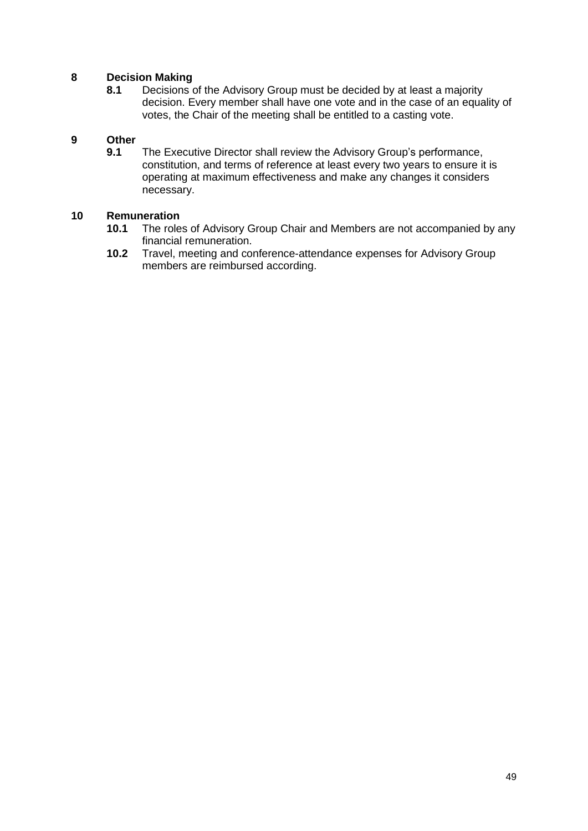## **8 Decision Making**

**8.1** Decisions of the Advisory Group must be decided by at least a majority decision. Every member shall have one vote and in the case of an equality of votes, the Chair of the meeting shall be entitled to a casting vote.

# **9 Other**

**9.1** The Executive Director shall review the Advisory Group's performance, constitution, and terms of reference at least every two years to ensure it is operating at maximum effectiveness and make any changes it considers necessary.

- **10.1** The roles of Advisory Group Chair and Members are not accompanied by any financial remuneration.
- **10.2** Travel, meeting and conference-attendance expenses for Advisory Group members are reimbursed according.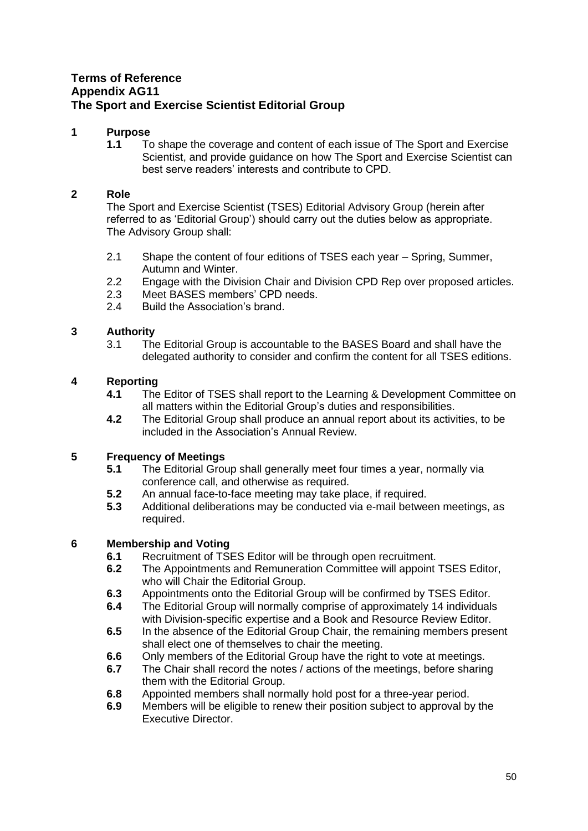## <span id="page-49-0"></span>**Terms of Reference Appendix AG11 The Sport and Exercise Scientist Editorial Group**

#### **1 Purpose**

**1.1** To shape the coverage and content of each issue of The Sport and Exercise Scientist, and provide guidance on how The Sport and Exercise Scientist can best serve readers' interests and contribute to CPD.

#### **2 Role**

The Sport and Exercise Scientist (TSES) Editorial Advisory Group (herein after referred to as 'Editorial Group') should carry out the duties below as appropriate. The Advisory Group shall:

- 2.1 Shape the content of four editions of TSES each year Spring, Summer, Autumn and Winter.
- 2.2 Engage with the Division Chair and Division CPD Rep over proposed articles.
- 2.3 Meet BASES members' CPD needs.
- 2.4 Build the Association's brand.

## **3 Authority**

3.1 The Editorial Group is accountable to the BASES Board and shall have the delegated authority to consider and confirm the content for all TSES editions.

## **4 Reporting**

- **4.1** The Editor of TSES shall report to the Learning & Development Committee on all matters within the Editorial Group's duties and responsibilities.
- **4.2** The Editorial Group shall produce an annual report about its activities, to be included in the Association's Annual Review.

#### **5 Frequency of Meetings**

- **5.1** The Editorial Group shall generally meet four times a year, normally via conference call, and otherwise as required.
- **5.2** An annual face-to-face meeting may take place, if required.
- **5.3** Additional deliberations may be conducted via e-mail between meetings, as required.

- **6.1** Recruitment of TSES Editor will be through open recruitment.<br>**6.2** The Appointments and Remuneration Committee will appoint
- **6.2** The Appointments and Remuneration Committee will appoint TSES Editor, who will Chair the Editorial Group.
- **6.3** Appointments onto the Editorial Group will be confirmed by TSES Editor.
- **6.4** The Editorial Group will normally comprise of approximately 14 individuals with Division-specific expertise and a Book and Resource Review Editor.
- **6.5** In the absence of the Editorial Group Chair, the remaining members present shall elect one of themselves to chair the meeting.
- **6.6** Only members of the Editorial Group have the right to vote at meetings.
- **6.7** The Chair shall record the notes / actions of the meetings, before sharing them with the Editorial Group.
- **6.8** Appointed members shall normally hold post for a three-year period.
- **6.9** Members will be eligible to renew their position subject to approval by the Executive Director.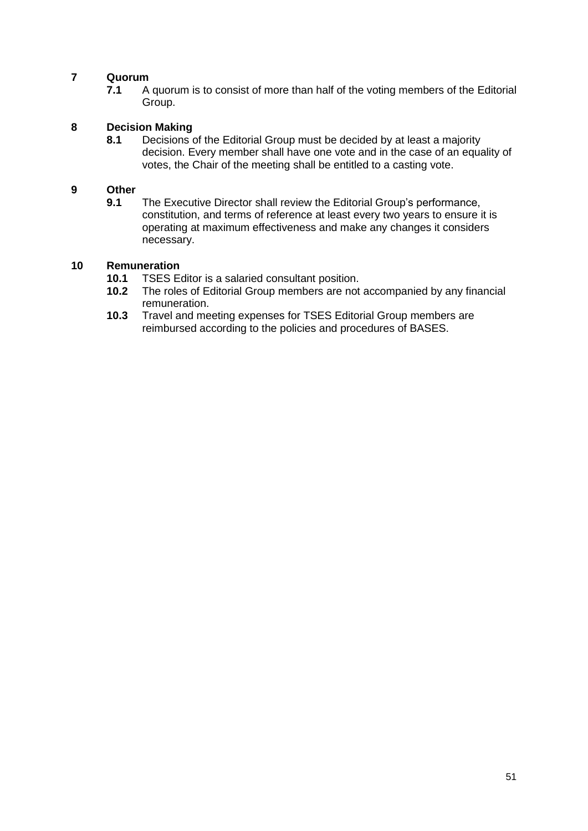**7.1** A quorum is to consist of more than half of the voting members of the Editorial Group.

# **8 Decision Making**

**8.1** Decisions of the Editorial Group must be decided by at least a majority decision. Every member shall have one vote and in the case of an equality of votes, the Chair of the meeting shall be entitled to a casting vote.

#### **9 Other**

**9.1** The Executive Director shall review the Editorial Group's performance, constitution, and terms of reference at least every two years to ensure it is operating at maximum effectiveness and make any changes it considers necessary.

- 10.1 TSES Editor is a salaried consultant position.<br>**10.2** The roles of Editorial Group members are not
- **10.2** The roles of Editorial Group members are not accompanied by any financial remuneration.
- **10.3** Travel and meeting expenses for TSES Editorial Group members are reimbursed according to the policies and procedures of BASES.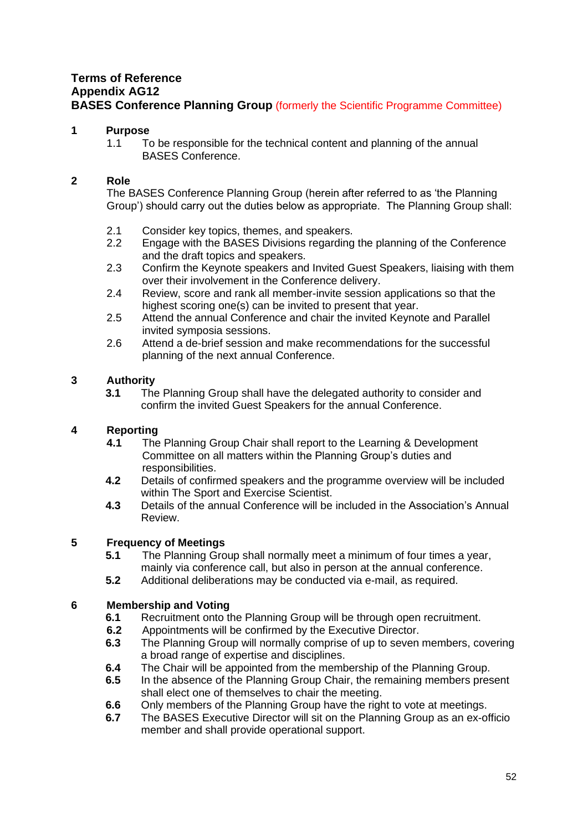## <span id="page-51-0"></span>**Terms of Reference Appendix AG12 BASES Conference Planning Group** (formerly the Scientific Programme Committee)

## **1 Purpose**

1.1 To be responsible for the technical content and planning of the annual BASES Conference.

## **2 Role**

The BASES Conference Planning Group (herein after referred to as 'the Planning Group') should carry out the duties below as appropriate. The Planning Group shall:

- 2.1 Consider key topics, themes, and speakers.<br>2.2 Engage with the BASES Divisions regarding
- Engage with the BASES Divisions regarding the planning of the Conference and the draft topics and speakers.
- 2.3 Confirm the Keynote speakers and Invited Guest Speakers, liaising with them over their involvement in the Conference delivery.
- 2.4 Review, score and rank all member-invite session applications so that the highest scoring one(s) can be invited to present that year.
- 2.5 Attend the annual Conference and chair the invited Keynote and Parallel invited symposia sessions.
- 2.6 Attend a de-brief session and make recommendations for the successful planning of the next annual Conference.

## **3 Authority**

**3.1** The Planning Group shall have the delegated authority to consider and confirm the invited Guest Speakers for the annual Conference.

## **4 Reporting**

- **4.1** The Planning Group Chair shall report to the Learning & Development Committee on all matters within the Planning Group's duties and responsibilities.
- **4.2** Details of confirmed speakers and the programme overview will be included within The Sport and Exercise Scientist.
- **4.3** Details of the annual Conference will be included in the Association's Annual Review.

## **5 Frequency of Meetings**

- **5.1** The Planning Group shall normally meet a minimum of four times a year, mainly via conference call, but also in person at the annual conference.
- **5.2** Additional deliberations may be conducted via e-mail, as required.

- **6.1** Recruitment onto the Planning Group will be through open recruitment.
- **6.2** Appointments will be confirmed by the Executive Director.
- **6.3** The Planning Group will normally comprise of up to seven members, covering a broad range of expertise and disciplines.
- **6.4** The Chair will be appointed from the membership of the Planning Group.
- **6.5** In the absence of the Planning Group Chair, the remaining members present shall elect one of themselves to chair the meeting.
- **6.6** Only members of the Planning Group have the right to vote at meetings.
- **6.7** The BASES Executive Director will sit on the Planning Group as an ex-officio member and shall provide operational support.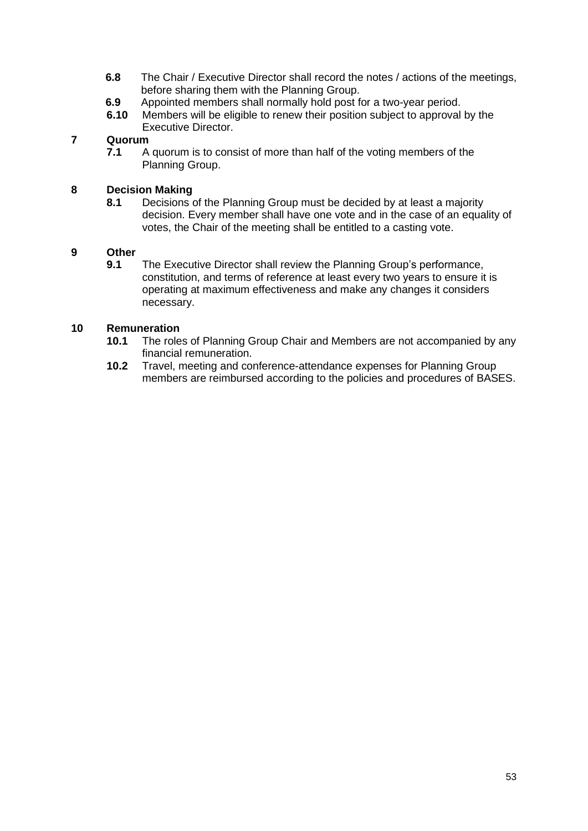- **6.8** The Chair / Executive Director shall record the notes / actions of the meetings, before sharing them with the Planning Group.
- **6.9** Appointed members shall normally hold post for a two-year period.<br>**6.10** Members will be eligible to renew their position subject to approval
- **6.10** Members will be eligible to renew their position subject to approval by the Executive Director.

**7.1** A quorum is to consist of more than half of the voting members of the Planning Group.

#### **8 Decision Making**

**8.1** Decisions of the Planning Group must be decided by at least a majority decision. Every member shall have one vote and in the case of an equality of votes, the Chair of the meeting shall be entitled to a casting vote.

#### **9 Other**

**9.1** The Executive Director shall review the Planning Group's performance, constitution, and terms of reference at least every two years to ensure it is operating at maximum effectiveness and make any changes it considers necessary.

- **10.1** The roles of Planning Group Chair and Members are not accompanied by any financial remuneration.
- **10.2** Travel, meeting and conference-attendance expenses for Planning Group members are reimbursed according to the policies and procedures of BASES.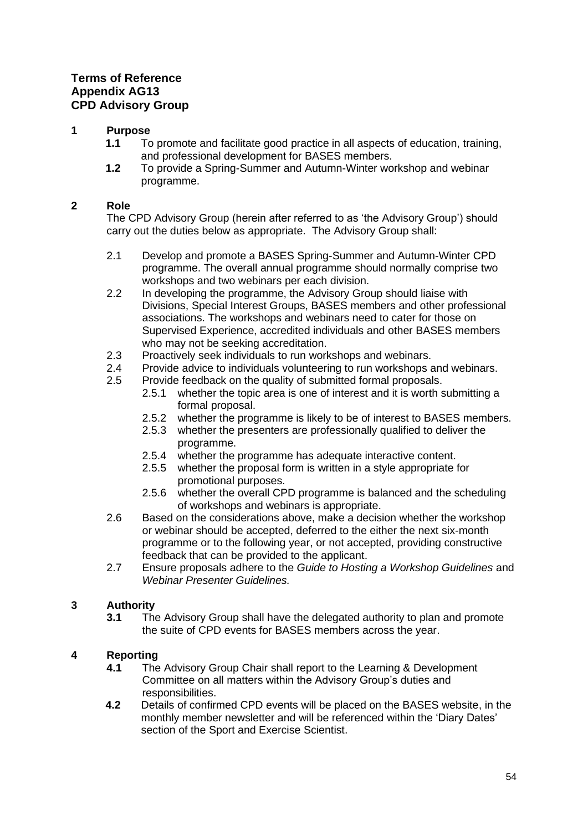# <span id="page-53-0"></span>**Terms of Reference Appendix AG13 CPD Advisory Group**

## **1 Purpose**

- **1.1** To promote and facilitate good practice in all aspects of education, training, and professional development for BASES members.
- **1.2** To provide a Spring-Summer and Autumn-Winter workshop and webinar programme.

## **2 Role**

The CPD Advisory Group (herein after referred to as 'the Advisory Group') should carry out the duties below as appropriate. The Advisory Group shall:

- 2.1 Develop and promote a BASES Spring-Summer and Autumn-Winter CPD programme. The overall annual programme should normally comprise two workshops and two webinars per each division.
- 2.2 In developing the programme, the Advisory Group should liaise with Divisions, Special Interest Groups, BASES members and other professional associations. The workshops and webinars need to cater for those on Supervised Experience, accredited individuals and other BASES members who may not be seeking accreditation.
- 2.3 Proactively seek individuals to run workshops and webinars.
- 2.4 Provide advice to individuals volunteering to run workshops and webinars.
- 2.5 Provide feedback on the quality of submitted formal proposals.
	- 2.5.1 whether the topic area is one of interest and it is worth submitting a formal proposal.
	- 2.5.2 whether the programme is likely to be of interest to BASES members.
	- 2.5.3 whether the presenters are professionally qualified to deliver the programme.
	- 2.5.4 whether the programme has adequate interactive content.
	- 2.5.5 whether the proposal form is written in a style appropriate for promotional purposes.
	- 2.5.6 whether the overall CPD programme is balanced and the scheduling of workshops and webinars is appropriate.
- 2.6 Based on the considerations above, make a decision whether the workshop or webinar should be accepted, deferred to the either the next six-month programme or to the following year, or not accepted, providing constructive feedback that can be provided to the applicant.
- 2.7 Ensure proposals adhere to the *Guide to Hosting a Workshop Guidelines* and *Webinar Presenter Guidelines.*

## **3 Authority**

**3.1** The Advisory Group shall have the delegated authority to plan and promote the suite of CPD events for BASES members across the year.

## **4 Reporting**

- **4.1** The Advisory Group Chair shall report to the Learning & Development Committee on all matters within the Advisory Group's duties and responsibilities.
- **4.2** Details of confirmed CPD events will be placed on the BASES website, in the monthly member newsletter and will be referenced within the 'Diary Dates' section of the Sport and Exercise Scientist.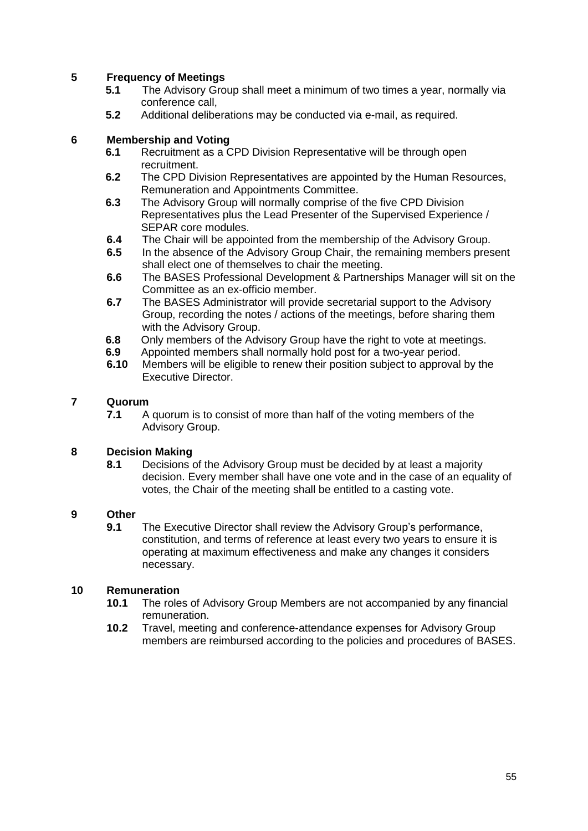## **5 Frequency of Meetings**

- **5.1** The Advisory Group shall meet a minimum of two times a year, normally via conference call,
- **5.2** Additional deliberations may be conducted via e-mail, as required.

#### **6 Membership and Voting**

- **6.1** Recruitment as a CPD Division Representative will be through open recruitment.
- **6.2** The CPD Division Representatives are appointed by the Human Resources, Remuneration and Appointments Committee.
- **6.3** The Advisory Group will normally comprise of the five CPD Division Representatives plus the Lead Presenter of the Supervised Experience / SEPAR core modules.
- **6.4** The Chair will be appointed from the membership of the Advisory Group.
- **6.5** In the absence of the Advisory Group Chair, the remaining members present shall elect one of themselves to chair the meeting.
- **6.6** The BASES Professional Development & Partnerships Manager will sit on the Committee as an ex-officio member.
- **6.7** The BASES Administrator will provide secretarial support to the Advisory Group, recording the notes / actions of the meetings, before sharing them with the Advisory Group.
- **6.8** Only members of the Advisory Group have the right to vote at meetings.
- **6.9** Appointed members shall normally hold post for a two-year period.
- **6.10** Members will be eligible to renew their position subject to approval by the Executive Director.

#### **7 Quorum**

**7.1** A quorum is to consist of more than half of the voting members of the Advisory Group.

#### **8 Decision Making**

**8.1** Decisions of the Advisory Group must be decided by at least a majority decision. Every member shall have one vote and in the case of an equality of votes, the Chair of the meeting shall be entitled to a casting vote.

#### **9 Other**

**9.1** The Executive Director shall review the Advisory Group's performance, constitution, and terms of reference at least every two years to ensure it is operating at maximum effectiveness and make any changes it considers necessary.

- **10.1** The roles of Advisory Group Members are not accompanied by any financial remuneration.
- **10.2** Travel, meeting and conference-attendance expenses for Advisory Group members are reimbursed according to the policies and procedures of BASES.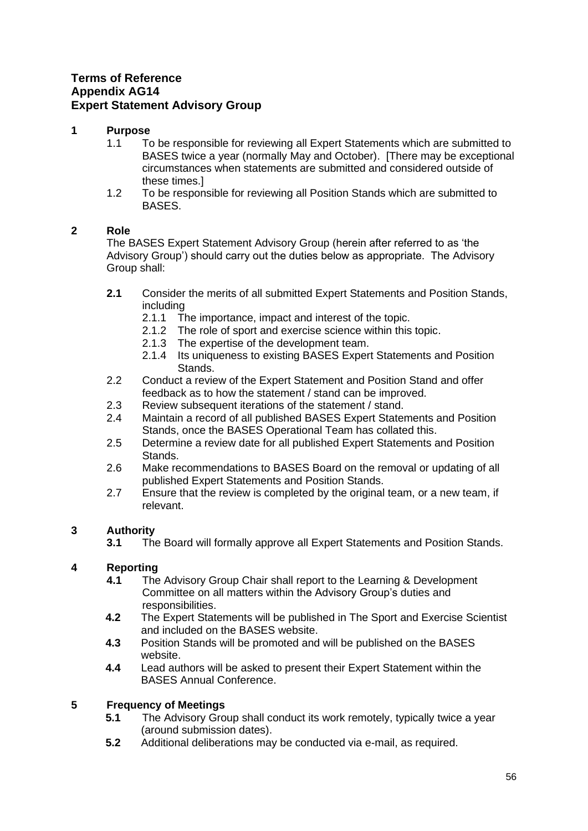## <span id="page-55-0"></span>**Terms of Reference Appendix AG14 Expert Statement Advisory Group**

#### **1 Purpose**

- 1.1 To be responsible for reviewing all Expert Statements which are submitted to BASES twice a year (normally May and October). [There may be exceptional circumstances when statements are submitted and considered outside of these times.]
- 1.2 To be responsible for reviewing all Position Stands which are submitted to BASES.

## **2 Role**

The BASES Expert Statement Advisory Group (herein after referred to as 'the Advisory Group') should carry out the duties below as appropriate. The Advisory Group shall:

- **2.1** Consider the merits of all submitted Expert Statements and Position Stands, including
	- 2.1.1 The importance, impact and interest of the topic.
	- 2.1.2 The role of sport and exercise science within this topic.
	- 2.1.3 The expertise of the development team.
	- 2.1.4 Its uniqueness to existing BASES Expert Statements and Position Stands.
- 2.2 Conduct a review of the Expert Statement and Position Stand and offer feedback as to how the statement / stand can be improved.
- 2.3 Review subsequent iterations of the statement / stand.
- 2.4 Maintain a record of all published BASES Expert Statements and Position Stands, once the BASES Operational Team has collated this.
- 2.5 Determine a review date for all published Expert Statements and Position Stands.
- 2.6 Make recommendations to BASES Board on the removal or updating of all published Expert Statements and Position Stands.
- 2.7 Ensure that the review is completed by the original team, or a new team, if relevant.

## **3 Authority**

**3.1** The Board will formally approve all Expert Statements and Position Stands.

## **4 Reporting**

- **4.1** The Advisory Group Chair shall report to the Learning & Development Committee on all matters within the Advisory Group's duties and responsibilities.
- **4.2** The Expert Statements will be published in The Sport and Exercise Scientist and included on the BASES website.
- **4.3** Position Stands will be promoted and will be published on the BASES website.
- **4.4** Lead authors will be asked to present their Expert Statement within the BASES Annual Conference.

## **5 Frequency of Meetings**

- **5.1** The Advisory Group shall conduct its work remotely, typically twice a year (around submission dates).
- **5.2** Additional deliberations may be conducted via e-mail, as required.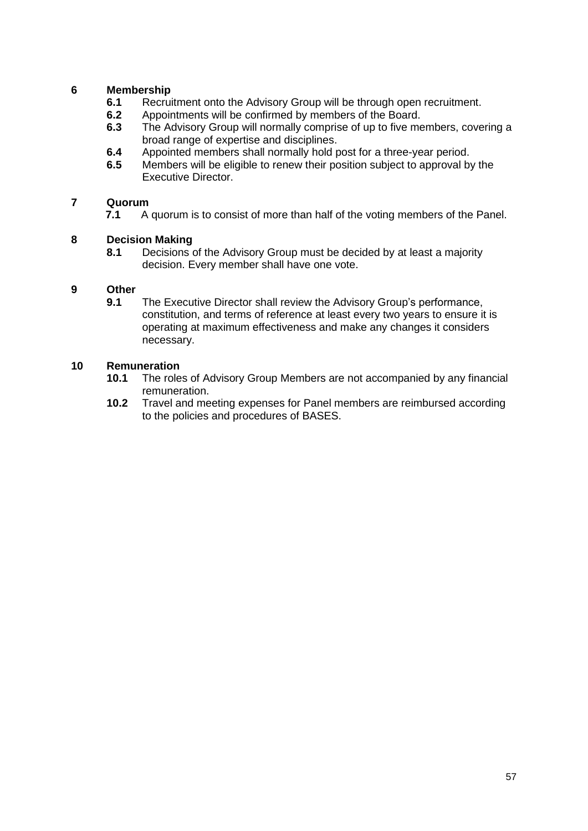## **6 Membership**

- **6.1** Recruitment onto the Advisory Group will be through open recruitment.<br>**6.2** Appointments will be confirmed by members of the Board.
- **6.2** Appointments will be confirmed by members of the Board.<br>**6.3** The Advisory Group will normally comprise of up to five me
- **6.3** The Advisory Group will normally comprise of up to five members, covering a broad range of expertise and disciplines.
- **6.4** Appointed members shall normally hold post for a three-year period.
- **6.5** Members will be eligible to renew their position subject to approval by the Executive Director.

#### **7 Quorum**

**7.1** A quorum is to consist of more than half of the voting members of the Panel.

#### **8 Decision Making**

**8.1** Decisions of the Advisory Group must be decided by at least a majority decision. Every member shall have one vote.

#### **9 Other**

**9.1** The Executive Director shall review the Advisory Group's performance, constitution, and terms of reference at least every two years to ensure it is operating at maximum effectiveness and make any changes it considers necessary.

- **10.1** The roles of Advisory Group Members are not accompanied by any financial remuneration.
- **10.2** Travel and meeting expenses for Panel members are reimbursed according to the policies and procedures of BASES.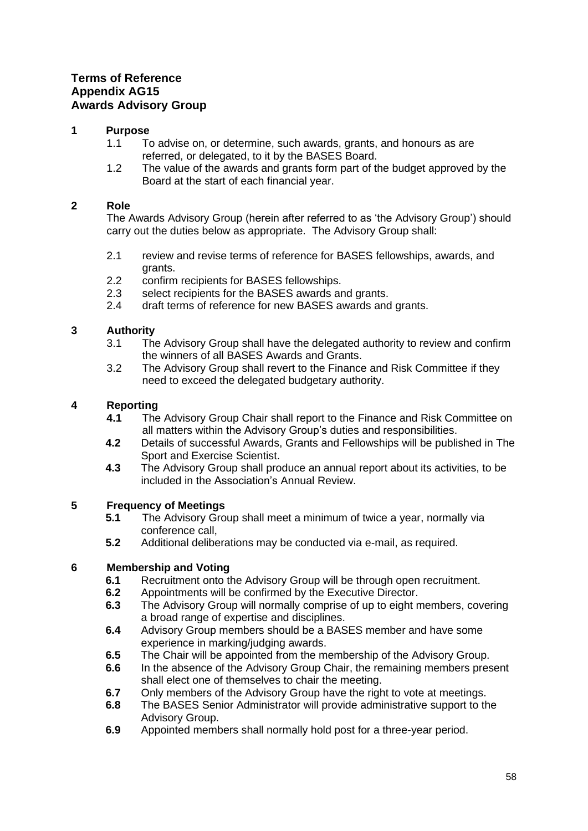## <span id="page-57-0"></span>**Terms of Reference Appendix AG15 Awards Advisory Group**

## **1 Purpose**

- 1.1 To advise on, or determine, such awards, grants, and honours as are referred, or delegated, to it by the BASES Board.
- 1.2 The value of the awards and grants form part of the budget approved by the Board at the start of each financial year.

## **2 Role**

The Awards Advisory Group (herein after referred to as 'the Advisory Group') should carry out the duties below as appropriate. The Advisory Group shall:

- 2.1 review and revise terms of reference for BASES fellowships, awards, and grants.
- 2.2 confirm recipients for BASES fellowships.<br>2.3 select recipients for the BASES awards are
- select recipients for the BASES awards and grants.
- 2.4 draft terms of reference for new BASES awards and grants.

## **3 Authority**

- 3.1 The Advisory Group shall have the delegated authority to review and confirm the winners of all BASES Awards and Grants.
- 3.2 The Advisory Group shall revert to the Finance and Risk Committee if they need to exceed the delegated budgetary authority.

## **4 Reporting**

- **4.1** The Advisory Group Chair shall report to the Finance and Risk Committee on all matters within the Advisory Group's duties and responsibilities.
- **4.2** Details of successful Awards, Grants and Fellowships will be published in The Sport and Exercise Scientist.
- **4.3** The Advisory Group shall produce an annual report about its activities, to be included in the Association's Annual Review.

## **5 Frequency of Meetings**

- **5.1** The Advisory Group shall meet a minimum of twice a year, normally via conference call,
- **5.2** Additional deliberations may be conducted via e-mail, as required.

- **6.1** Recruitment onto the Advisory Group will be through open recruitment.
- **6.2** Appointments will be confirmed by the Executive Director.
- **6.3** The Advisory Group will normally comprise of up to eight members, covering a broad range of expertise and disciplines.
- **6.4** Advisory Group members should be a BASES member and have some experience in marking/judging awards.
- **6.5** The Chair will be appointed from the membership of the Advisory Group.
- **6.6** In the absence of the Advisory Group Chair, the remaining members present shall elect one of themselves to chair the meeting.
- **6.7** Only members of the Advisory Group have the right to vote at meetings.
- **6.8** The BASES Senior Administrator will provide administrative support to the Advisory Group.
- **6.9** Appointed members shall normally hold post for a three-year period.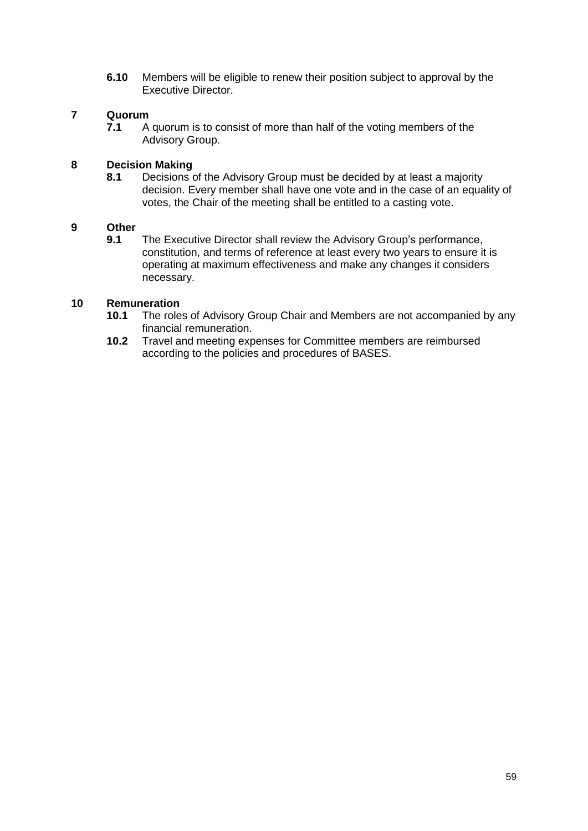**6.10** Members will be eligible to renew their position subject to approval by the Executive Director.

# **7 Quorum**

**7.1** A quorum is to consist of more than half of the voting members of the Advisory Group.

#### **8 Decision Making**

**8.1** Decisions of the Advisory Group must be decided by at least a majority decision. Every member shall have one vote and in the case of an equality of votes, the Chair of the meeting shall be entitled to a casting vote.

# **9 Other**

**9.1** The Executive Director shall review the Advisory Group's performance, constitution, and terms of reference at least every two years to ensure it is operating at maximum effectiveness and make any changes it considers necessary.

- **10.1** The roles of Advisory Group Chair and Members are not accompanied by any financial remuneration.
- **10.2** Travel and meeting expenses for Committee members are reimbursed according to the policies and procedures of BASES.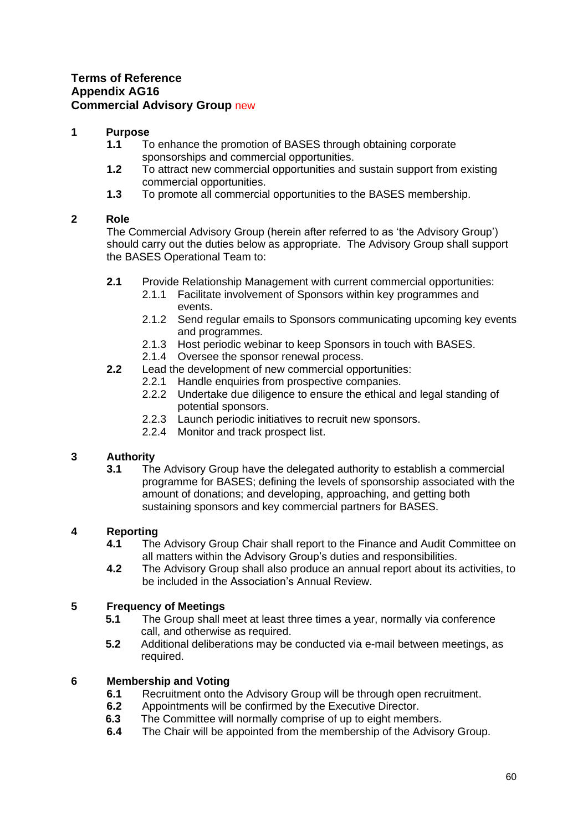## <span id="page-59-0"></span>**Terms of Reference Appendix AG16 Commercial Advisory Group new**

## **1 Purpose**

- **1.1** To enhance the promotion of BASES through obtaining corporate sponsorships and commercial opportunities.
- **1.2** To attract new commercial opportunities and sustain support from existing commercial opportunities.
- **1.3** To promote all commercial opportunities to the BASES membership.

## **2 Role**

The Commercial Advisory Group (herein after referred to as 'the Advisory Group') should carry out the duties below as appropriate. The Advisory Group shall support the BASES Operational Team to:

- **2.1** Provide Relationship Management with current commercial opportunities:
	- 2.1.1 Facilitate involvement of Sponsors within key programmes and events.
	- 2.1.2 Send regular emails to Sponsors communicating upcoming key events and programmes.
	- 2.1.3 Host periodic webinar to keep Sponsors in touch with BASES.
	- 2.1.4 Oversee the sponsor renewal process.
- **2.2** Lead the development of new commercial opportunities:
	- 2.2.1 Handle enquiries from prospective companies.
	- 2.2.2 Undertake due diligence to ensure the ethical and legal standing of potential sponsors.
	- 2.2.3 Launch periodic initiatives to recruit new sponsors.
	- 2.2.4 Monitor and track prospect list.

## **3 Authority**

**3.1** The Advisory Group have the delegated authority to establish a commercial programme for BASES; defining the levels of sponsorship associated with the amount of donations; and developing, approaching, and getting both sustaining sponsors and key commercial partners for BASES.

## **4 Reporting**

- **4.1** The Advisory Group Chair shall report to the Finance and Audit Committee on all matters within the Advisory Group's duties and responsibilities.
- **4.2** The Advisory Group shall also produce an annual report about its activities, to be included in the Association's Annual Review.

## **5 Frequency of Meetings**

- **5.1** The Group shall meet at least three times a year, normally via conference call, and otherwise as required.
- **5.2** Additional deliberations may be conducted via e-mail between meetings, as required.

- **6.1** Recruitment onto the Advisory Group will be through open recruitment.
- **6.2** Appointments will be confirmed by the Executive Director.
- **6.3** The Committee will normally comprise of up to eight members.
- **6.4** The Chair will be appointed from the membership of the Advisory Group.